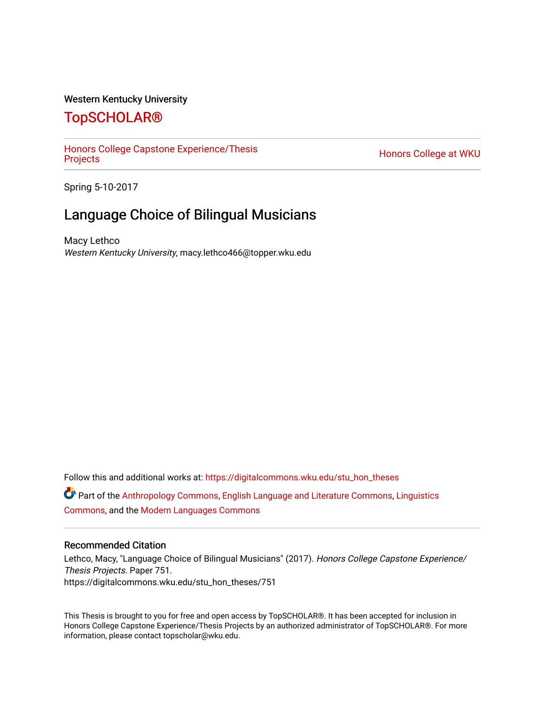#### Western Kentucky University

# [TopSCHOLAR®](https://digitalcommons.wku.edu/)

[Honors College Capstone Experience/Thesis](https://digitalcommons.wku.edu/stu_hon_theses) 

Honors College at WKU

Spring 5-10-2017

# Language Choice of Bilingual Musicians

Macy Lethco Western Kentucky University, macy.lethco466@topper.wku.edu

Follow this and additional works at: [https://digitalcommons.wku.edu/stu\\_hon\\_theses](https://digitalcommons.wku.edu/stu_hon_theses?utm_source=digitalcommons.wku.edu%2Fstu_hon_theses%2F751&utm_medium=PDF&utm_campaign=PDFCoverPages)  Part of the [Anthropology Commons](http://network.bepress.com/hgg/discipline/318?utm_source=digitalcommons.wku.edu%2Fstu_hon_theses%2F751&utm_medium=PDF&utm_campaign=PDFCoverPages), [English Language and Literature Commons,](http://network.bepress.com/hgg/discipline/455?utm_source=digitalcommons.wku.edu%2Fstu_hon_theses%2F751&utm_medium=PDF&utm_campaign=PDFCoverPages) [Linguistics](http://network.bepress.com/hgg/discipline/371?utm_source=digitalcommons.wku.edu%2Fstu_hon_theses%2F751&utm_medium=PDF&utm_campaign=PDFCoverPages)  [Commons](http://network.bepress.com/hgg/discipline/371?utm_source=digitalcommons.wku.edu%2Fstu_hon_theses%2F751&utm_medium=PDF&utm_campaign=PDFCoverPages), and the [Modern Languages Commons](http://network.bepress.com/hgg/discipline/1130?utm_source=digitalcommons.wku.edu%2Fstu_hon_theses%2F751&utm_medium=PDF&utm_campaign=PDFCoverPages)

#### Recommended Citation

Lethco, Macy, "Language Choice of Bilingual Musicians" (2017). Honors College Capstone Experience/ Thesis Projects. Paper 751. https://digitalcommons.wku.edu/stu\_hon\_theses/751

This Thesis is brought to you for free and open access by TopSCHOLAR®. It has been accepted for inclusion in Honors College Capstone Experience/Thesis Projects by an authorized administrator of TopSCHOLAR®. For more information, please contact topscholar@wku.edu.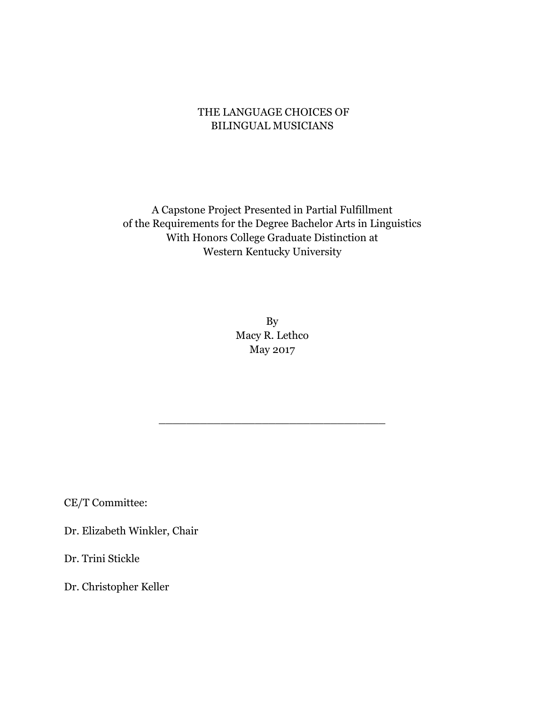# THE LANGUAGE CHOICES OF BILINGUAL MUSICIANS

A Capstone Project Presented in Partial Fulfillment of the Requirements for the Degree Bachelor Arts in Linguistics With Honors College Graduate Distinction at Western Kentucky University

> By Macy R. Lethco May 2017

\_\_\_\_\_\_\_\_\_\_\_\_\_\_\_\_\_\_\_\_\_\_\_\_\_\_\_\_\_\_\_\_\_

CE/T Committee:

Dr. Elizabeth Winkler, Chair

Dr. Trini Stickle

Dr. Christopher Keller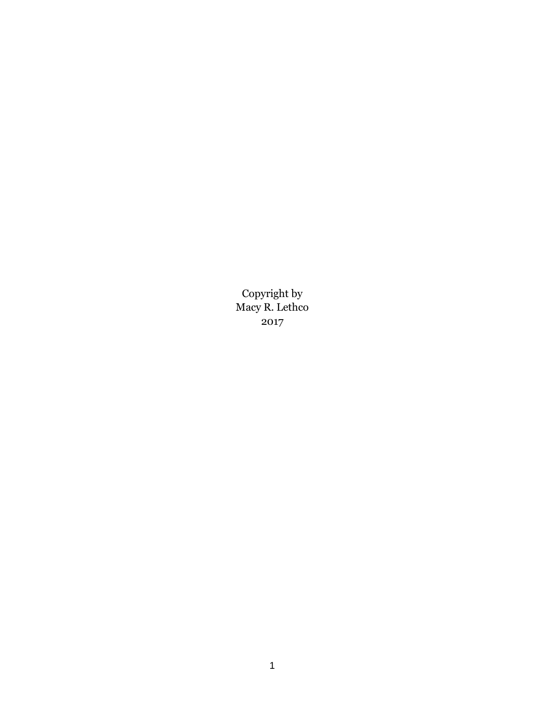Copyright by Macy R. Lethco 2017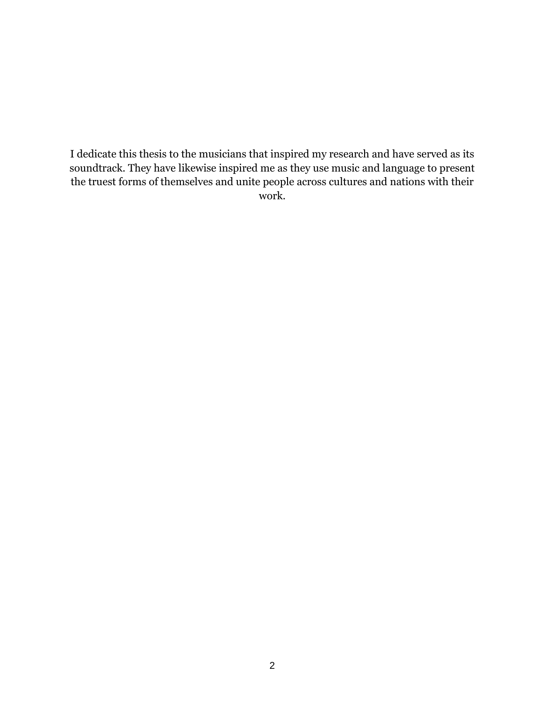I dedicate this thesis to the musicians that inspired my research and have served as its soundtrack. They have likewise inspired me as they use music and language to present the truest forms of themselves and unite people across cultures and nations with their work.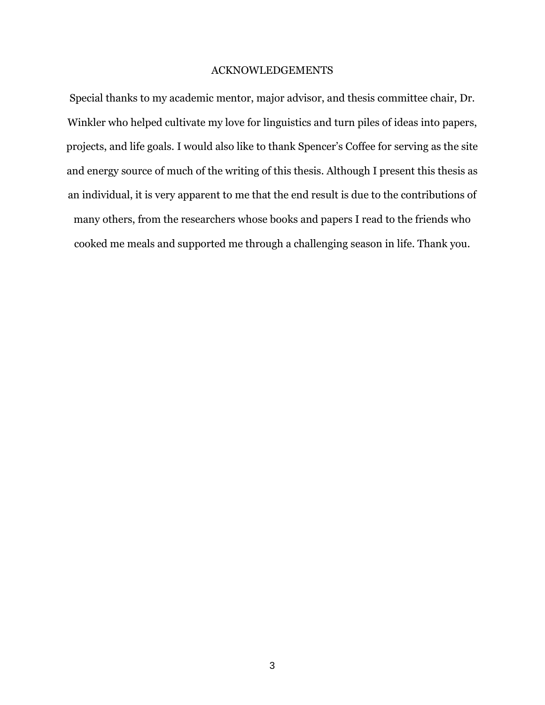## ACKNOWLEDGEMENTS

Special thanks to my academic mentor, major advisor, and thesis committee chair, Dr. Winkler who helped cultivate my love for linguistics and turn piles of ideas into papers, projects, and life goals. I would also like to thank Spencer's Coffee for serving as the site and energy source of much of the writing of this thesis. Although I present this thesis as an individual, it is very apparent to me that the end result is due to the contributions of many others, from the researchers whose books and papers I read to the friends who cooked me meals and supported me through a challenging season in life. Thank you.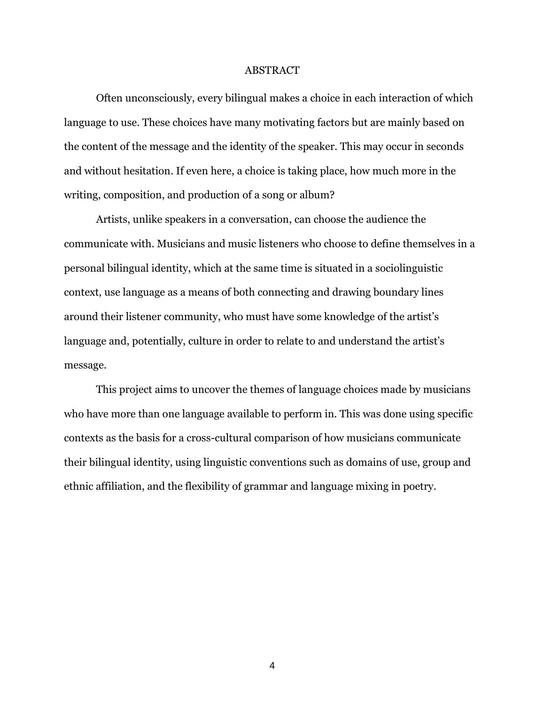#### ABSTRACT

Often unconsciously, every bilingual makes a choice in each interaction of which language to use. These choices have many motivating factors but are mainly based on the content of the message and the identity of the speaker. This may occur in seconds and without hesitation. If even here, a choice is taking place, how much more in the writing, composition, and production of a song or album?

Artists, unlike speakers in a conversation, can choose the audience the communicate with. Musicians and music listeners who choose to define themselves in a personal bilingual identity, which at the same time is situated in a sociolinguistic context, use language as a means of both connecting and drawing boundary lines around their listener community, who must have some knowledge of the artist's language and, potentially, culture in order to relate to and understand the artist's message.

This project aims to uncover the themes of language choices made by musicians who have more than one language available to perform in. This was done using specific contexts as the basis for a cross-cultural comparison of how musicians communicate their bilingual identity, using linguistic conventions such as domains of use, group and ethnic affiliation, and the flexibility of grammar and language mixing in poetry.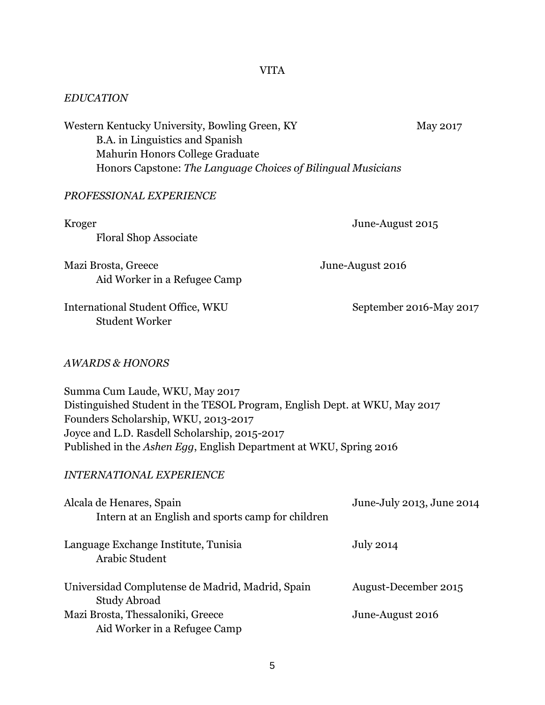VITA

## *EDUCATION*

Western Kentucky University, Bowling Green, KY May 2017 B.A. in Linguistics and Spanish Mahurin Honors College Graduate Honors Capstone: *The Language Choices of Bilingual Musicians*

## *PROFESSIONAL EXPERIENCE*

| Kroger<br><b>Floral Shop Associate</b>                                                                                                                                                                                                                                                                         | June-August 2015          |  |
|----------------------------------------------------------------------------------------------------------------------------------------------------------------------------------------------------------------------------------------------------------------------------------------------------------------|---------------------------|--|
| Mazi Brosta, Greece<br>Aid Worker in a Refugee Camp                                                                                                                                                                                                                                                            | June-August 2016          |  |
| International Student Office, WKU<br><b>Student Worker</b>                                                                                                                                                                                                                                                     | September 2016-May 2017   |  |
| <b>AWARDS &amp; HONORS</b>                                                                                                                                                                                                                                                                                     |                           |  |
| Summa Cum Laude, WKU, May 2017<br>Distinguished Student in the TESOL Program, English Dept. at WKU, May 2017<br>Founders Scholarship, WKU, 2013-2017<br>Joyce and L.D. Rasdell Scholarship, 2015-2017<br>Published in the Ashen Egg, English Department at WKU, Spring 2016<br><b>INTERNATIONAL EXPERIENCE</b> |                           |  |
| Alcala de Henares, Spain<br>Intern at an English and sports camp for children                                                                                                                                                                                                                                  | June-July 2013, June 2014 |  |
| Language Exchange Institute, Tunisia<br><b>Arabic Student</b>                                                                                                                                                                                                                                                  | <b>July 2014</b>          |  |
| Universidad Complutense de Madrid, Madrid, Spain<br><b>Study Abroad</b>                                                                                                                                                                                                                                        | August-December 2015      |  |
| Mazi Brosta, Thessaloniki, Greece<br>Aid Worker in a Refugee Camp                                                                                                                                                                                                                                              | June-August 2016          |  |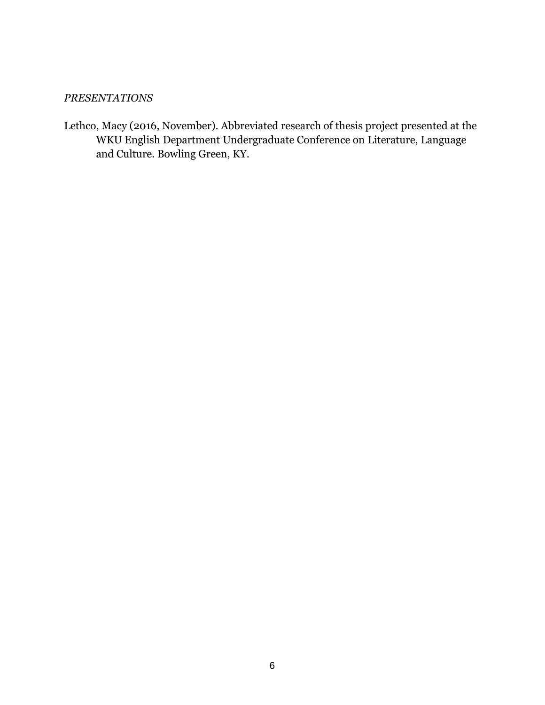# *PRESENTATIONS*

Lethco, Macy (2016, November). Abbreviated research of thesis project presented at the WKU English Department Undergraduate Conference on Literature, Language and Culture. Bowling Green, KY.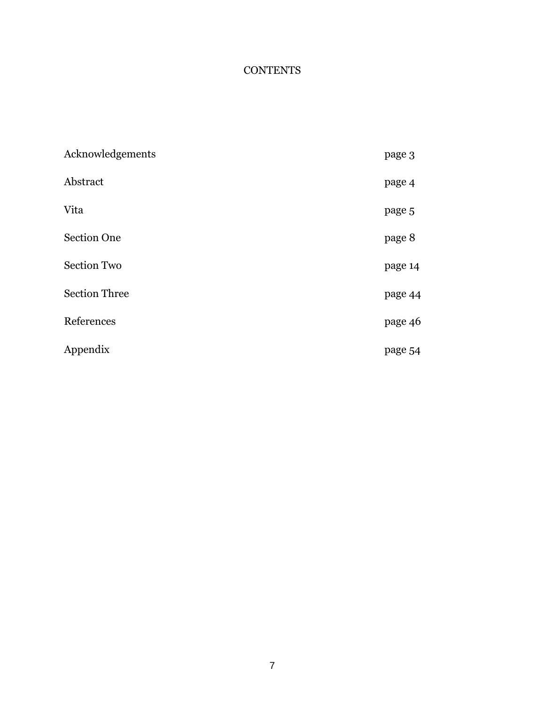# **CONTENTS**

| Acknowledgements     | page 3  |
|----------------------|---------|
| Abstract             | page 4  |
| Vita                 | page 5  |
| <b>Section One</b>   | page 8  |
| <b>Section Two</b>   | page 14 |
| <b>Section Three</b> | page 44 |
| References           | page 46 |
| Appendix             | page 54 |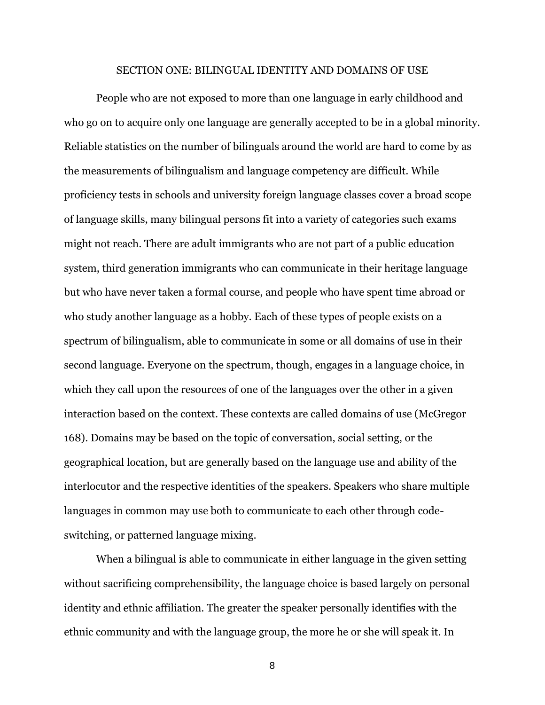#### SECTION ONE: BILINGUAL IDENTITY AND DOMAINS OF USE

People who are not exposed to more than one language in early childhood and who go on to acquire only one language are generally accepted to be in a global minority. Reliable statistics on the number of bilinguals around the world are hard to come by as the measurements of bilingualism and language competency are difficult. While proficiency tests in schools and university foreign language classes cover a broad scope of language skills, many bilingual persons fit into a variety of categories such exams might not reach. There are adult immigrants who are not part of a public education system, third generation immigrants who can communicate in their heritage language but who have never taken a formal course, and people who have spent time abroad or who study another language as a hobby. Each of these types of people exists on a spectrum of bilingualism, able to communicate in some or all domains of use in their second language. Everyone on the spectrum, though, engages in a language choice, in which they call upon the resources of one of the languages over the other in a given interaction based on the context. These contexts are called domains of use (McGregor 168). Domains may be based on the topic of conversation, social setting, or the geographical location, but are generally based on the language use and ability of the interlocutor and the respective identities of the speakers. Speakers who share multiple languages in common may use both to communicate to each other through codeswitching, or patterned language mixing.

When a bilingual is able to communicate in either language in the given setting without sacrificing comprehensibility, the language choice is based largely on personal identity and ethnic affiliation. The greater the speaker personally identifies with the ethnic community and with the language group, the more he or she will speak it. In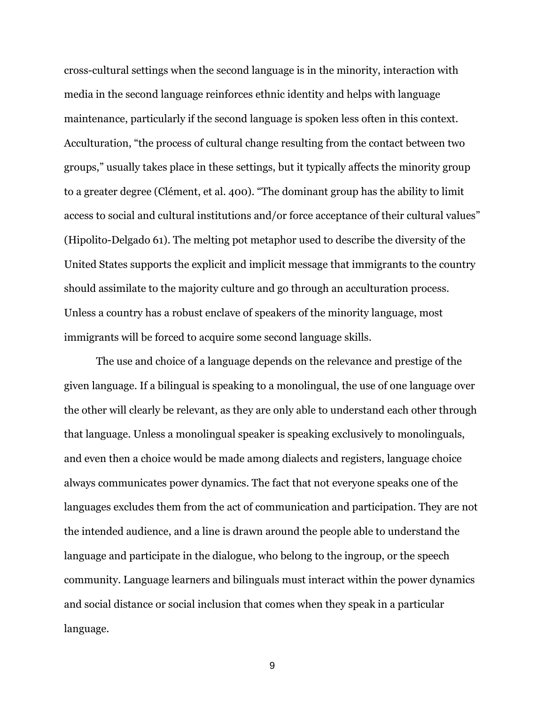cross-cultural settings when the second language is in the minority, interaction with media in the second language reinforces ethnic identity and helps with language maintenance, particularly if the second language is spoken less often in this context. Acculturation, "the process of cultural change resulting from the contact between two groups," usually takes place in these settings, but it typically affects the minority group to a greater degree (Clément, et al. 400). "The dominant group has the ability to limit access to social and cultural institutions and/or force acceptance of their cultural values" (Hipolito-Delgado 61). The melting pot metaphor used to describe the diversity of the United States supports the explicit and implicit message that immigrants to the country should assimilate to the majority culture and go through an acculturation process. Unless a country has a robust enclave of speakers of the minority language, most immigrants will be forced to acquire some second language skills.

The use and choice of a language depends on the relevance and prestige of the given language. If a bilingual is speaking to a monolingual, the use of one language over the other will clearly be relevant, as they are only able to understand each other through that language. Unless a monolingual speaker is speaking exclusively to monolinguals, and even then a choice would be made among dialects and registers, language choice always communicates power dynamics. The fact that not everyone speaks one of the languages excludes them from the act of communication and participation. They are not the intended audience, and a line is drawn around the people able to understand the language and participate in the dialogue, who belong to the ingroup, or the speech community. Language learners and bilinguals must interact within the power dynamics and social distance or social inclusion that comes when they speak in a particular language.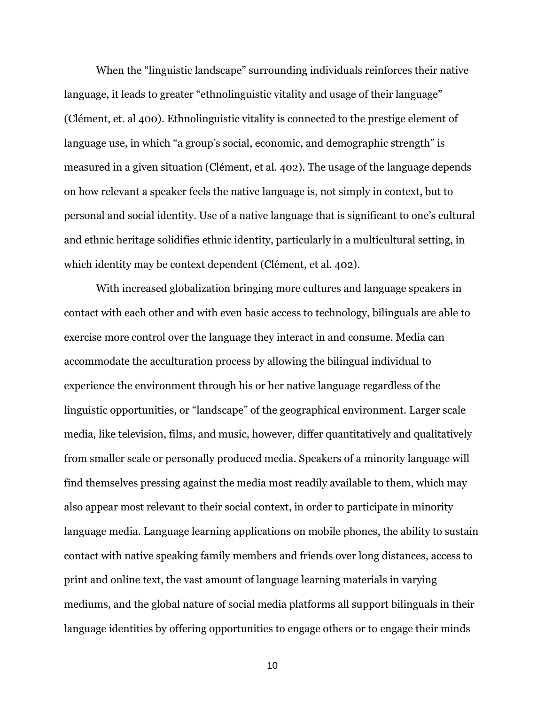When the "linguistic landscape" surrounding individuals reinforces their native language, it leads to greater "ethnolinguistic vitality and usage of their language" (Clément, et. al 400). Ethnolinguistic vitality is connected to the prestige element of language use, in which "a group's social, economic, and demographic strength" is measured in a given situation (Clément, et al. 402). The usage of the language depends on how relevant a speaker feels the native language is, not simply in context, but to personal and social identity. Use of a native language that is significant to one's cultural and ethnic heritage solidifies ethnic identity, particularly in a multicultural setting, in which identity may be context dependent (Clément, et al. 402).

With increased globalization bringing more cultures and language speakers in contact with each other and with even basic access to technology, bilinguals are able to exercise more control over the language they interact in and consume. Media can accommodate the acculturation process by allowing the bilingual individual to experience the environment through his or her native language regardless of the linguistic opportunities, or "landscape" of the geographical environment. Larger scale media, like television, films, and music, however, differ quantitatively and qualitatively from smaller scale or personally produced media. Speakers of a minority language will find themselves pressing against the media most readily available to them, which may also appear most relevant to their social context, in order to participate in minority language media. Language learning applications on mobile phones, the ability to sustain contact with native speaking family members and friends over long distances, access to print and online text, the vast amount of language learning materials in varying mediums, and the global nature of social media platforms all support bilinguals in their language identities by offering opportunities to engage others or to engage their minds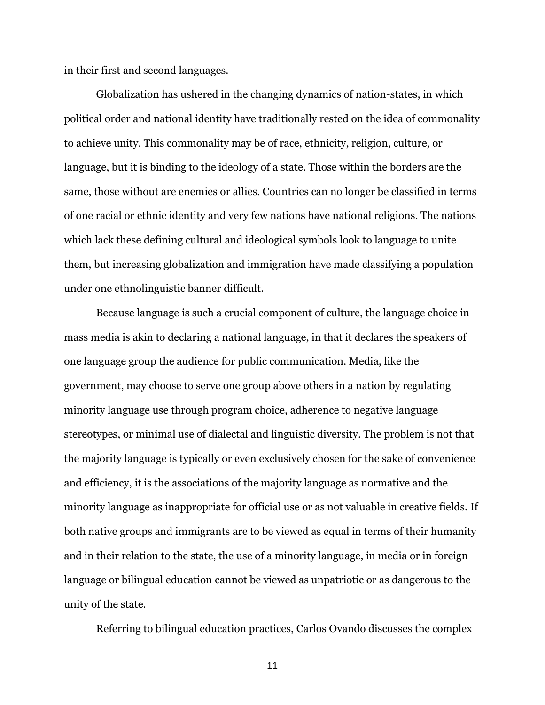in their first and second languages.

Globalization has ushered in the changing dynamics of nation-states, in which political order and national identity have traditionally rested on the idea of commonality to achieve unity. This commonality may be of race, ethnicity, religion, culture, or language, but it is binding to the ideology of a state. Those within the borders are the same, those without are enemies or allies. Countries can no longer be classified in terms of one racial or ethnic identity and very few nations have national religions. The nations which lack these defining cultural and ideological symbols look to language to unite them, but increasing globalization and immigration have made classifying a population under one ethnolinguistic banner difficult.

Because language is such a crucial component of culture, the language choice in mass media is akin to declaring a national language, in that it declares the speakers of one language group the audience for public communication. Media, like the government, may choose to serve one group above others in a nation by regulating minority language use through program choice, adherence to negative language stereotypes, or minimal use of dialectal and linguistic diversity. The problem is not that the majority language is typically or even exclusively chosen for the sake of convenience and efficiency, it is the associations of the majority language as normative and the minority language as inappropriate for official use or as not valuable in creative fields. If both native groups and immigrants are to be viewed as equal in terms of their humanity and in their relation to the state, the use of a minority language, in media or in foreign language or bilingual education cannot be viewed as unpatriotic or as dangerous to the unity of the state.

Referring to bilingual education practices, Carlos Ovando discusses the complex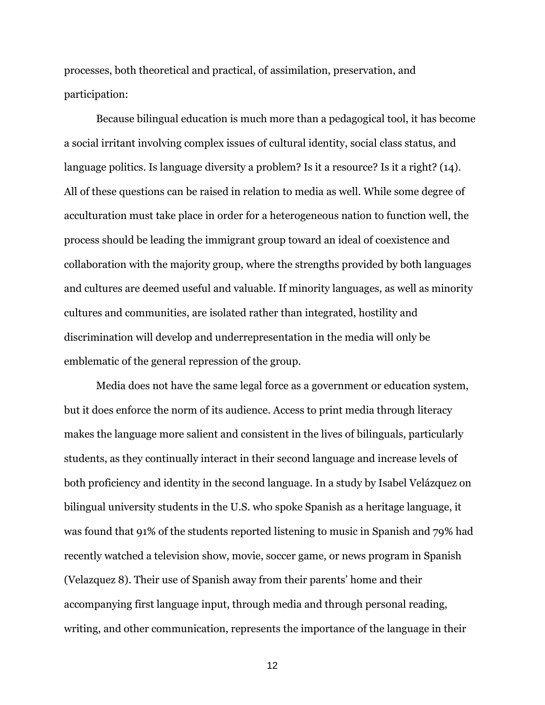processes, both theoretical and practical, of assimilation, preservation, and participation:

Because bilingual education is much more than a pedagogical tool, it has become a social irritant involving complex issues of cultural identity, social class status, and language politics. Is language diversity a problem? Is it a resource? Is it a right? (14). All of these questions can be raised in relation to media as well. While some degree of acculturation must take place in order for a heterogeneous nation to function well, the process should be leading the immigrant group toward an ideal of coexistence and collaboration with the majority group, where the strengths provided by both languages and cultures are deemed useful and valuable. If minority languages, as well as minority cultures and communities, are isolated rather than integrated, hostility and discrimination will develop and underrepresentation in the media will only be emblematic of the general repression of the group.

Media does not have the same legal force as a government or education system, but it does enforce the norm of its audience. Access to print media through literacy makes the language more salient and consistent in the lives of bilinguals, particularly students, as they continually interact in their second language and increase levels of both proficiency and identity in the second language. In a study by Isabel Velázquez on bilingual university students in the U.S. who spoke Spanish as a heritage language, it was found that 91% of the students reported listening to music in Spanish and 79% had recently watched a television show, movie, soccer game, or news program in Spanish (Velazquez 8). Their use of Spanish away from their parents' home and their accompanying first language input, through media and through personal reading, writing, and other communication, represents the importance of the language in their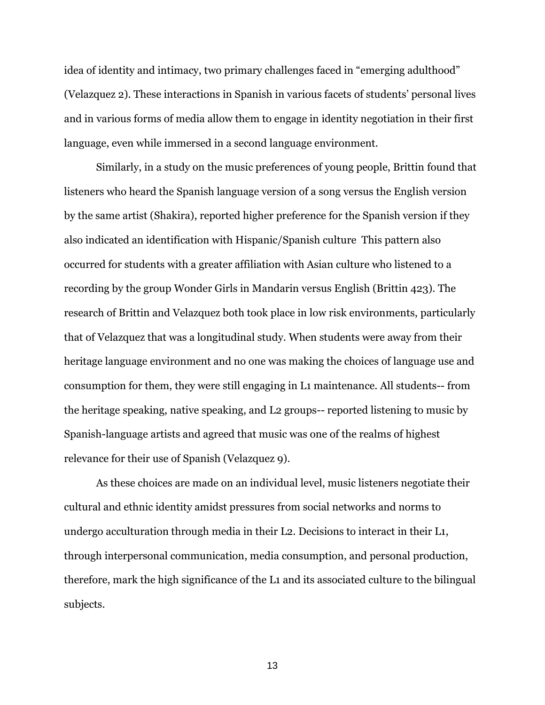idea of identity and intimacy, two primary challenges faced in "emerging adulthood" (Velazquez 2). These interactions in Spanish in various facets of students' personal lives and in various forms of media allow them to engage in identity negotiation in their first language, even while immersed in a second language environment.

Similarly, in a study on the music preferences of young people, Brittin found that listeners who heard the Spanish language version of a song versus the English version by the same artist (Shakira), reported higher preference for the Spanish version if they also indicated an identification with Hispanic/Spanish culture This pattern also occurred for students with a greater affiliation with Asian culture who listened to a recording by the group Wonder Girls in Mandarin versus English (Brittin 423). The research of Brittin and Velazquez both took place in low risk environments, particularly that of Velazquez that was a longitudinal study. When students were away from their heritage language environment and no one was making the choices of language use and consumption for them, they were still engaging in L1 maintenance. All students-- from the heritage speaking, native speaking, and L2 groups-- reported listening to music by Spanish-language artists and agreed that music was one of the realms of highest relevance for their use of Spanish (Velazquez 9).

As these choices are made on an individual level, music listeners negotiate their cultural and ethnic identity amidst pressures from social networks and norms to undergo acculturation through media in their L2. Decisions to interact in their L1, through interpersonal communication, media consumption, and personal production, therefore, mark the high significance of the L1 and its associated culture to the bilingual subjects.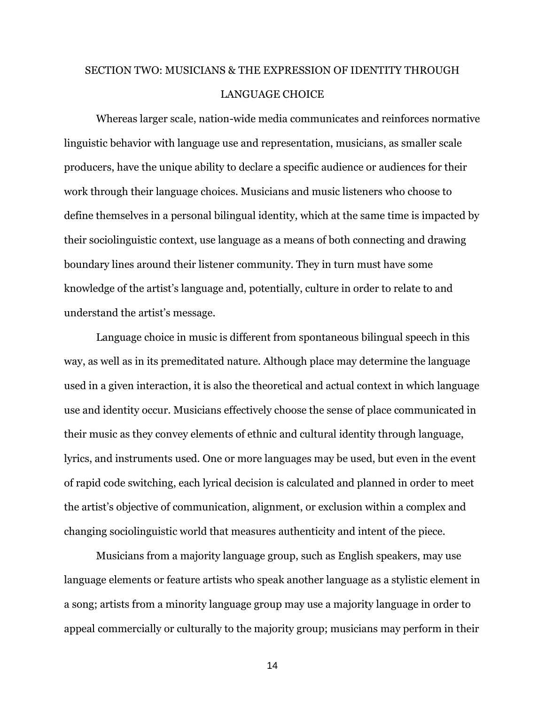# SECTION TWO: MUSICIANS & THE EXPRESSION OF IDENTITY THROUGH LANGUAGE CHOICE

Whereas larger scale, nation-wide media communicates and reinforces normative linguistic behavior with language use and representation, musicians, as smaller scale producers, have the unique ability to declare a specific audience or audiences for their work through their language choices. Musicians and music listeners who choose to define themselves in a personal bilingual identity, which at the same time is impacted by their sociolinguistic context, use language as a means of both connecting and drawing boundary lines around their listener community. They in turn must have some knowledge of the artist's language and, potentially, culture in order to relate to and understand the artist's message.

Language choice in music is different from spontaneous bilingual speech in this way, as well as in its premeditated nature. Although place may determine the language used in a given interaction, it is also the theoretical and actual context in which language use and identity occur. Musicians effectively choose the sense of place communicated in their music as they convey elements of ethnic and cultural identity through language, lyrics, and instruments used. One or more languages may be used, but even in the event of rapid code switching, each lyrical decision is calculated and planned in order to meet the artist's objective of communication, alignment, or exclusion within a complex and changing sociolinguistic world that measures authenticity and intent of the piece.

Musicians from a majority language group, such as English speakers, may use language elements or feature artists who speak another language as a stylistic element in a song; artists from a minority language group may use a majority language in order to appeal commercially or culturally to the majority group; musicians may perform in their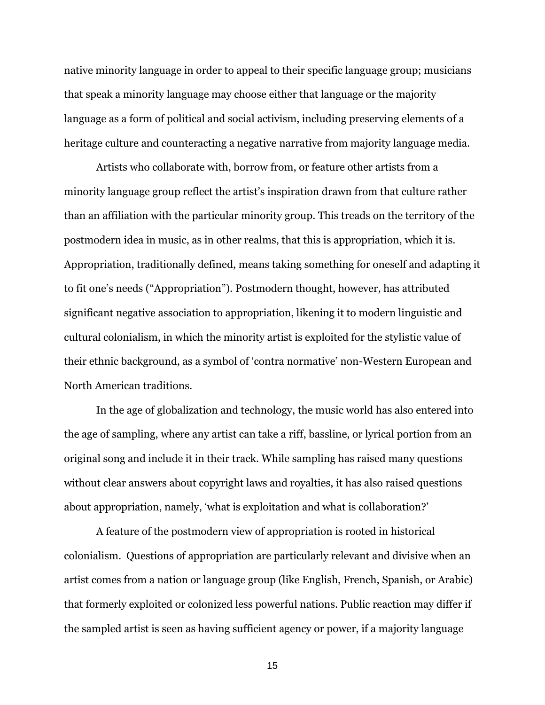native minority language in order to appeal to their specific language group; musicians that speak a minority language may choose either that language or the majority language as a form of political and social activism, including preserving elements of a heritage culture and counteracting a negative narrative from majority language media.

Artists who collaborate with, borrow from, or feature other artists from a minority language group reflect the artist's inspiration drawn from that culture rather than an affiliation with the particular minority group. This treads on the territory of the postmodern idea in music, as in other realms, that this is appropriation, which it is. Appropriation, traditionally defined, means taking something for oneself and adapting it to fit one's needs ("Appropriation"). Postmodern thought, however, has attributed significant negative association to appropriation, likening it to modern linguistic and cultural colonialism, in which the minority artist is exploited for the stylistic value of their ethnic background, as a symbol of 'contra normative' non-Western European and North American traditions.

In the age of globalization and technology, the music world has also entered into the age of sampling, where any artist can take a riff, bassline, or lyrical portion from an original song and include it in their track. While sampling has raised many questions without clear answers about copyright laws and royalties, it has also raised questions about appropriation, namely, 'what is exploitation and what is collaboration?'

A feature of the postmodern view of appropriation is rooted in historical colonialism. Questions of appropriation are particularly relevant and divisive when an artist comes from a nation or language group (like English, French, Spanish, or Arabic) that formerly exploited or colonized less powerful nations. Public reaction may differ if the sampled artist is seen as having sufficient agency or power, if a majority language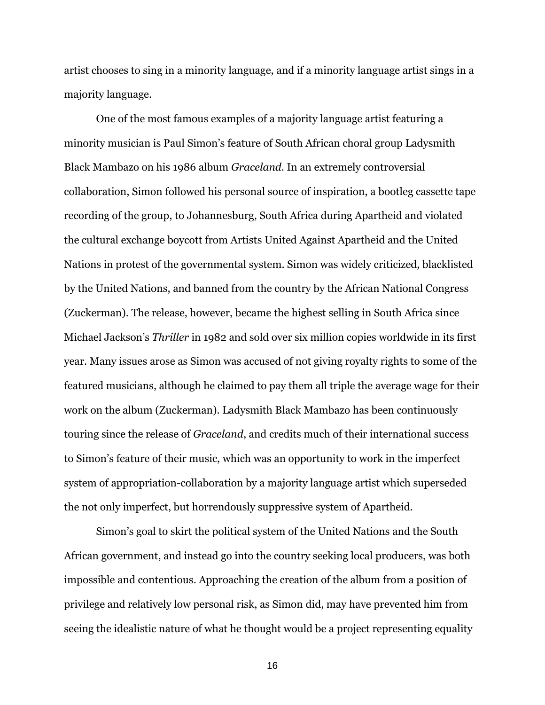artist chooses to sing in a minority language, and if a minority language artist sings in a majority language.

One of the most famous examples of a majority language artist featuring a minority musician is Paul Simon's feature of South African choral group Ladysmith Black Mambazo on his 1986 album *Graceland*. In an extremely controversial collaboration, Simon followed his personal source of inspiration, a bootleg cassette tape recording of the group, to Johannesburg, South Africa during Apartheid and violated the cultural exchange boycott from Artists United Against Apartheid and the United Nations in protest of the governmental system. Simon was widely criticized, blacklisted by the United Nations, and banned from the country by the African National Congress (Zuckerman). The release, however, became the highest selling in South Africa since Michael Jackson's *Thriller* in 1982 and sold over six million copies worldwide in its first year. Many issues arose as Simon was accused of not giving royalty rights to some of the featured musicians, although he claimed to pay them all triple the average wage for their work on the album (Zuckerman). Ladysmith Black Mambazo has been continuously touring since the release of *Graceland*, and credits much of their international success to Simon's feature of their music, which was an opportunity to work in the imperfect system of appropriation-collaboration by a majority language artist which superseded the not only imperfect, but horrendously suppressive system of Apartheid.

Simon's goal to skirt the political system of the United Nations and the South African government, and instead go into the country seeking local producers, was both impossible and contentious. Approaching the creation of the album from a position of privilege and relatively low personal risk, as Simon did, may have prevented him from seeing the idealistic nature of what he thought would be a project representing equality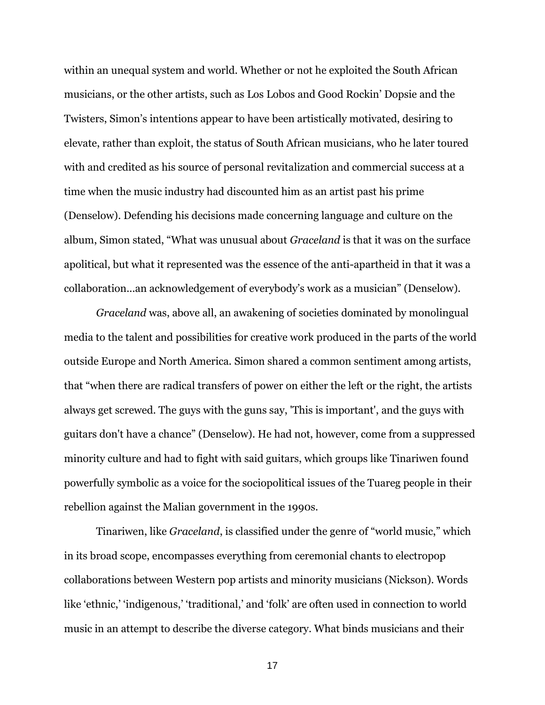within an unequal system and world. Whether or not he exploited the South African musicians, or the other artists, such as Los Lobos and Good Rockin' Dopsie and the Twisters, Simon's intentions appear to have been artistically motivated, desiring to elevate, rather than exploit, the status of South African musicians, who he later toured with and credited as his source of personal revitalization and commercial success at a time when the music industry had discounted him as an artist past his prime (Denselow). Defending his decisions made concerning language and culture on the album, Simon stated, "What was unusual about *Graceland* is that it was on the surface apolitical, but what it represented was the essence of the anti-apartheid in that it was a collaboration...an acknowledgement of everybody's work as a musician" (Denselow).

*Graceland* was, above all, an awakening of societies dominated by monolingual media to the talent and possibilities for creative work produced in the parts of the world outside Europe and North America. Simon shared a common sentiment among artists, that "when there are radical transfers of power on either the left or the right, the artists always get screwed. The guys with the guns say, 'This is important', and the guys with guitars don't have a chance" (Denselow). He had not, however, come from a suppressed minority culture and had to fight with said guitars, which groups like Tinariwen found powerfully symbolic as a voice for the sociopolitical issues of the Tuareg people in their rebellion against the Malian government in the 1990s.

Tinariwen, like *Graceland*, is classified under the genre of "world music," which in its broad scope, encompasses everything from ceremonial chants to electropop collaborations between Western pop artists and minority musicians (Nickson). Words like 'ethnic,' 'indigenous,' 'traditional,' and 'folk' are often used in connection to world music in an attempt to describe the diverse category. What binds musicians and their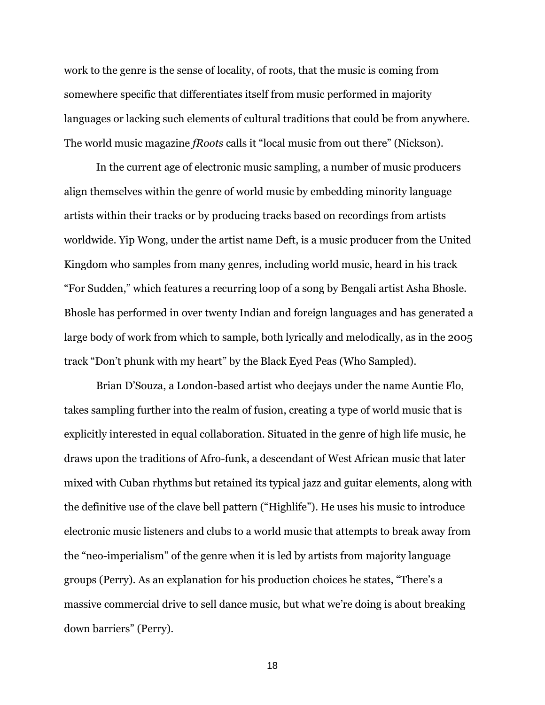work to the genre is the sense of locality, of roots, that the music is coming from somewhere specific that differentiates itself from music performed in majority languages or lacking such elements of cultural traditions that could be from anywhere. The world music magazine *fRoots* calls it "local music from out there" (Nickson).

In the current age of electronic music sampling, a number of music producers align themselves within the genre of world music by embedding minority language artists within their tracks or by producing tracks based on recordings from artists worldwide. Yip Wong, under the artist name Deft, is a music producer from the United Kingdom who samples from many genres, including world music, heard in his track "For Sudden," which features a recurring loop of a song by Bengali artist Asha Bhosle. Bhosle has performed in over twenty Indian and foreign languages and has generated a large body of work from which to sample, both lyrically and melodically, as in the 2005 track "Don't phunk with my heart" by the Black Eyed Peas (Who Sampled).

Brian D'Souza, a London-based artist who deejays under the name Auntie Flo, takes sampling further into the realm of fusion, creating a type of world music that is explicitly interested in equal collaboration. Situated in the genre of high life music, he draws upon the traditions of Afro-funk, a descendant of West African music that later mixed with Cuban rhythms but retained its typical jazz and guitar elements, along with the definitive use of the clave bell pattern ("Highlife"). He uses his music to introduce electronic music listeners and clubs to a world music that attempts to break away from the "neo-imperialism" of the genre when it is led by artists from majority language groups (Perry). As an explanation for his production choices he states, "There's a massive commercial drive to sell dance music, but what we're doing is about breaking down barriers" (Perry).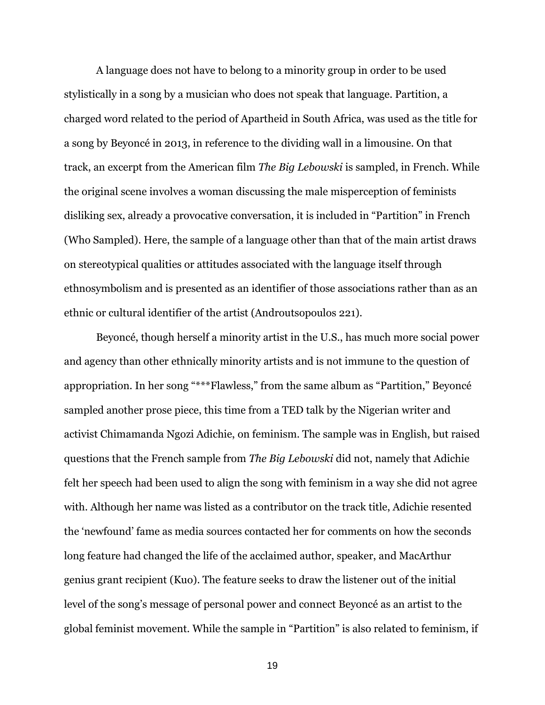A language does not have to belong to a minority group in order to be used stylistically in a song by a musician who does not speak that language. Partition, a charged word related to the period of Apartheid in South Africa, was used as the title for a song by Beyoncé in 2013, in reference to the dividing wall in a limousine. On that track, an excerpt from the American film *The Big Lebowski* is sampled, in French. While the original scene involves a woman discussing the male misperception of feminists disliking sex, already a provocative conversation, it is included in "Partition" in French (Who Sampled). Here, the sample of a language other than that of the main artist draws on stereotypical qualities or attitudes associated with the language itself through ethnosymbolism and is presented as an identifier of those associations rather than as an ethnic or cultural identifier of the artist (Androutsopoulos 221).

Beyoncé, though herself a minority artist in the U.S., has much more social power and agency than other ethnically minority artists and is not immune to the question of appropriation. In her song "\*\*\*Flawless," from the same album as "Partition," Beyoncé sampled another prose piece, this time from a TED talk by the Nigerian writer and activist Chimamanda Ngozi Adichie, on feminism. The sample was in English, but raised questions that the French sample from *The Big Lebowski* did not, namely that Adichie felt her speech had been used to align the song with feminism in a way she did not agree with. Although her name was listed as a contributor on the track title, Adichie resented the 'newfound' fame as media sources contacted her for comments on how the seconds long feature had changed the life of the acclaimed author, speaker, and MacArthur genius grant recipient (Kuo). The feature seeks to draw the listener out of the initial level of the song's message of personal power and connect Beyoncé as an artist to the global feminist movement. While the sample in "Partition" is also related to feminism, if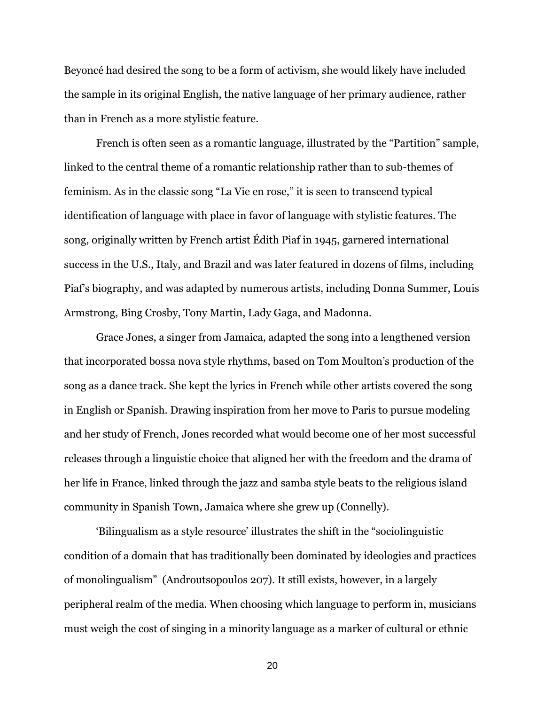Beyoncé had desired the song to be a form of activism, she would likely have included the sample in its original English, the native language of her primary audience, rather than in French as a more stylistic feature.

French is often seen as a romantic language, illustrated by the "Partition" sample, linked to the central theme of a romantic relationship rather than to sub-themes of feminism. As in the classic song "La Vie en rose," it is seen to transcend typical identification of language with place in favor of language with stylistic features. The song, originally written by French artist Édith Piaf in 1945, garnered international success in the U.S., Italy, and Brazil and was later featured in dozens of films, including Piaf's biography, and was adapted by numerous artists, including Donna Summer, Louis Armstrong, Bing Crosby, Tony Martin, Lady Gaga, and Madonna.

Grace Jones, a singer from Jamaica, adapted the song into a lengthened version that incorporated bossa nova style rhythms, based on Tom Moulton's production of the song as a dance track. She kept the lyrics in French while other artists covered the song in English or Spanish. Drawing inspiration from her move to Paris to pursue modeling and her study of French, Jones recorded what would become one of her most successful releases through a linguistic choice that aligned her with the freedom and the drama of her life in France, linked through the jazz and samba style beats to the religious island community in Spanish Town, Jamaica where she grew up (Connelly).

'Bilingualism as a style resource' illustrates the shift in the "sociolinguistic condition of a domain that has traditionally been dominated by ideologies and practices of monolingualism" (Androutsopoulos 207). It still exists, however, in a largely peripheral realm of the media. When choosing which language to perform in, musicians must weigh the cost of singing in a minority language as a marker of cultural or ethnic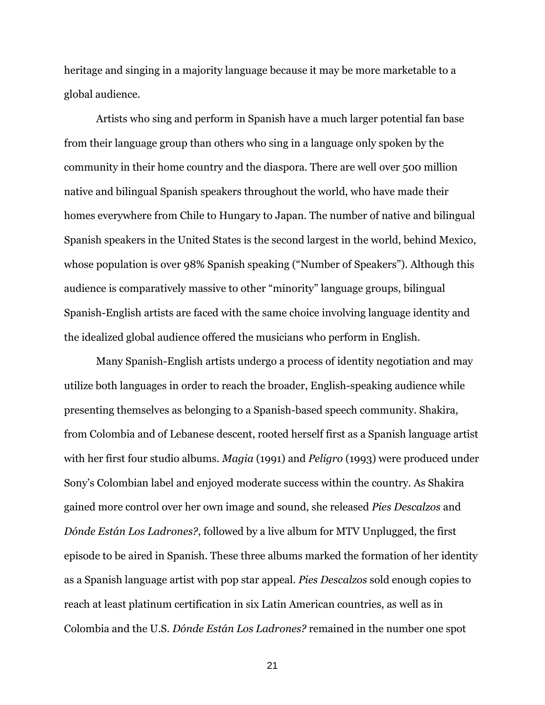heritage and singing in a majority language because it may be more marketable to a global audience.

Artists who sing and perform in Spanish have a much larger potential fan base from their language group than others who sing in a language only spoken by the community in their home country and the diaspora. There are well over 500 million native and bilingual Spanish speakers throughout the world, who have made their homes everywhere from Chile to Hungary to Japan. The number of native and bilingual Spanish speakers in the United States is the second largest in the world, behind Mexico, whose population is over 98% Spanish speaking ("Number of Speakers"). Although this audience is comparatively massive to other "minority" language groups, bilingual Spanish-English artists are faced with the same choice involving language identity and the idealized global audience offered the musicians who perform in English.

Many Spanish-English artists undergo a process of identity negotiation and may utilize both languages in order to reach the broader, English-speaking audience while presenting themselves as belonging to a Spanish-based speech community. Shakira, from Colombia and of Lebanese descent, rooted herself first as a Spanish language artist with her first four studio albums. *Magia* (1991) and *Peligro* (1993) were produced under Sony's Colombian label and enjoyed moderate success within the country. As Shakira gained more control over her own image and sound, she released *Pies Descalzos* and *Dónde Están Los Ladrones?*, followed by a live album for MTV Unplugged, the first episode to be aired in Spanish. These three albums marked the formation of her identity as a Spanish language artist with pop star appeal. *Pies Descalzos* sold enough copies to reach at least platinum certification in six Latin American countries, as well as in Colombia and the U.S. *Dónde Están Los Ladrones?* remained in the number one spot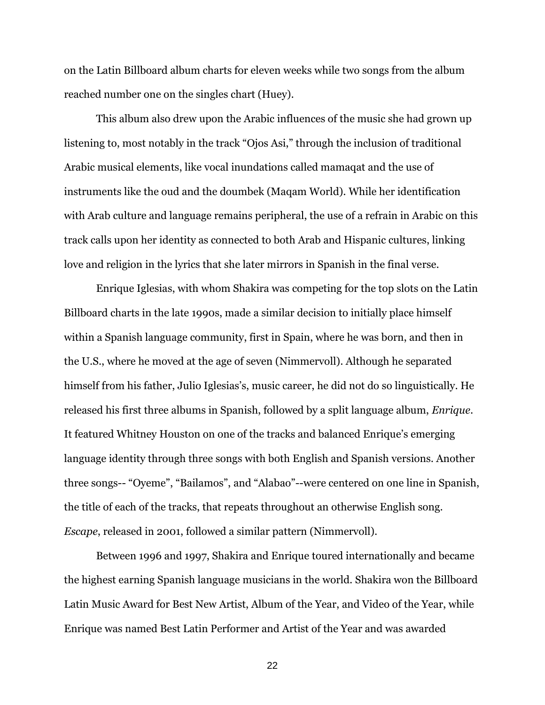on the Latin Billboard album charts for eleven weeks while two songs from the album reached number one on the singles chart (Huey).

This album also drew upon the Arabic influences of the music she had grown up listening to, most notably in the track "Ojos Asi," through the inclusion of traditional Arabic musical elements, like vocal inundations called mamaqat and the use of instruments like the oud and the doumbek (Maqam World). While her identification with Arab culture and language remains peripheral, the use of a refrain in Arabic on this track calls upon her identity as connected to both Arab and Hispanic cultures, linking love and religion in the lyrics that she later mirrors in Spanish in the final verse.

Enrique Iglesias, with whom Shakira was competing for the top slots on the Latin Billboard charts in the late 1990s, made a similar decision to initially place himself within a Spanish language community, first in Spain, where he was born, and then in the U.S., where he moved at the age of seven (Nimmervoll). Although he separated himself from his father, Julio Iglesias's, music career, he did not do so linguistically. He released his first three albums in Spanish, followed by a split language album, *Enrique*. It featured Whitney Houston on one of the tracks and balanced Enrique's emerging language identity through three songs with both English and Spanish versions. Another three songs-- "Oyeme", "Bailamos", and "Alabao"--were centered on one line in Spanish, the title of each of the tracks, that repeats throughout an otherwise English song. *Escape*, released in 2001, followed a similar pattern (Nimmervoll).

Between 1996 and 1997, Shakira and Enrique toured internationally and became the highest earning Spanish language musicians in the world. Shakira won the Billboard Latin Music Award for Best New Artist, Album of the Year, and Video of the Year, while Enrique was named Best Latin Performer and Artist of the Year and was awarded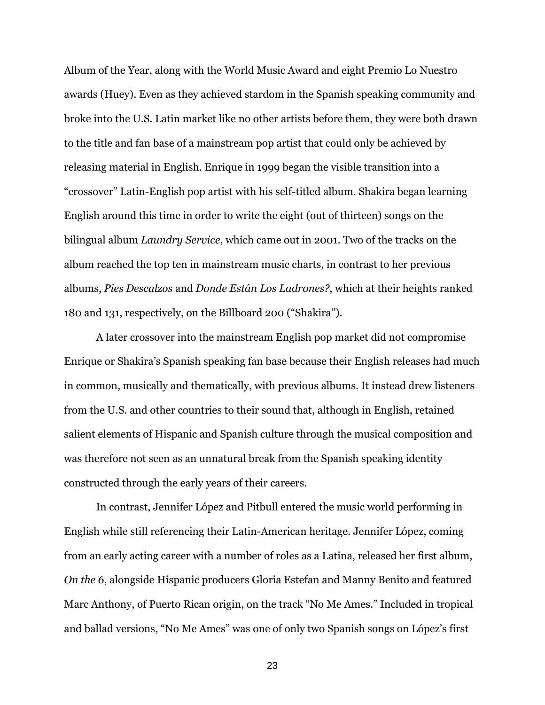Album of the Year, along with the World Music Award and eight Premio Lo Nuestro awards (Huey). Even as they achieved stardom in the Spanish speaking community and broke into the U.S. Latin market like no other artists before them, they were both drawn to the title and fan base of a mainstream pop artist that could only be achieved by releasing material in English. Enrique in 1999 began the visible transition into a "crossover" Latin-English pop artist with his self-titled album. Shakira began learning English around this time in order to write the eight (out of thirteen) songs on the bilingual album *Laundry Service*, which came out in 2001. Two of the tracks on the album reached the top ten in mainstream music charts, in contrast to her previous albums, *Pies Descalzos* and *Donde Están Los Ladrones?*, which at their heights ranked 180 and 131, respectively, on the Billboard 200 ("Shakira").

A later crossover into the mainstream English pop market did not compromise Enrique or Shakira's Spanish speaking fan base because their English releases had much in common, musically and thematically, with previous albums. It instead drew listeners from the U.S. and other countries to their sound that, although in English, retained salient elements of Hispanic and Spanish culture through the musical composition and was therefore not seen as an unnatural break from the Spanish speaking identity constructed through the early years of their careers.

In contrast, Jennifer López and Pitbull entered the music world performing in English while still referencing their Latin-American heritage. Jennifer López, coming from an early acting career with a number of roles as a Latina, released her first album, *On the 6*, alongside Hispanic producers Gloria Estefan and Manny Benito and featured Marc Anthony, of Puerto Rican origin, on the track "No Me Ames." Included in tropical and ballad versions, "No Me Ames" was one of only two Spanish songs on López's first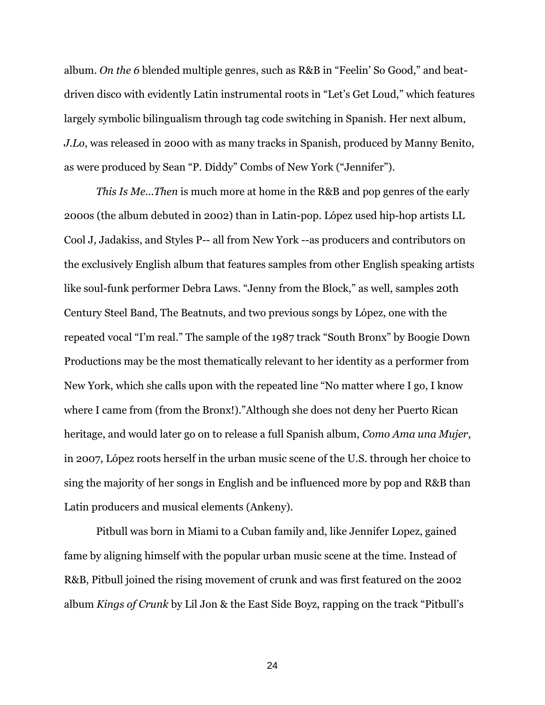album. *On the 6* blended multiple genres, such as R&B in "Feelin' So Good," and beatdriven disco with evidently Latin instrumental roots in "Let's Get Loud," which features largely symbolic bilingualism through tag code switching in Spanish. Her next album, *J.Lo*, was released in 2000 with as many tracks in Spanish, produced by Manny Benito, as were produced by Sean "P. Diddy" Combs of New York ("Jennifer").

*This Is Me...Then* is much more at home in the R&B and pop genres of the early 2000s (the album debuted in 2002) than in Latin-pop. López used hip-hop artists LL Cool J, Jadakiss, and Styles P-- all from New York --as producers and contributors on the exclusively English album that features samples from other English speaking artists like soul-funk performer Debra Laws. "Jenny from the Block," as well, samples 20th Century Steel Band, The Beatnuts, and two previous songs by López, one with the repeated vocal "I'm real." The sample of the 1987 track "South Bronx" by Boogie Down Productions may be the most thematically relevant to her identity as a performer from New York, which she calls upon with the repeated line "No matter where I go, I know where I came from (from the Bronx!)."Although she does not deny her Puerto Rican heritage, and would later go on to release a full Spanish album, *Como Ama una Mujer*, in 2007, López roots herself in the urban music scene of the U.S. through her choice to sing the majority of her songs in English and be influenced more by pop and R&B than Latin producers and musical elements (Ankeny).

Pitbull was born in Miami to a Cuban family and, like Jennifer Lopez, gained fame by aligning himself with the popular urban music scene at the time. Instead of R&B, Pitbull joined the rising movement of crunk and was first featured on the 2002 album *Kings of Crunk* by Lil Jon & the East Side Boyz, rapping on the track "Pitbull's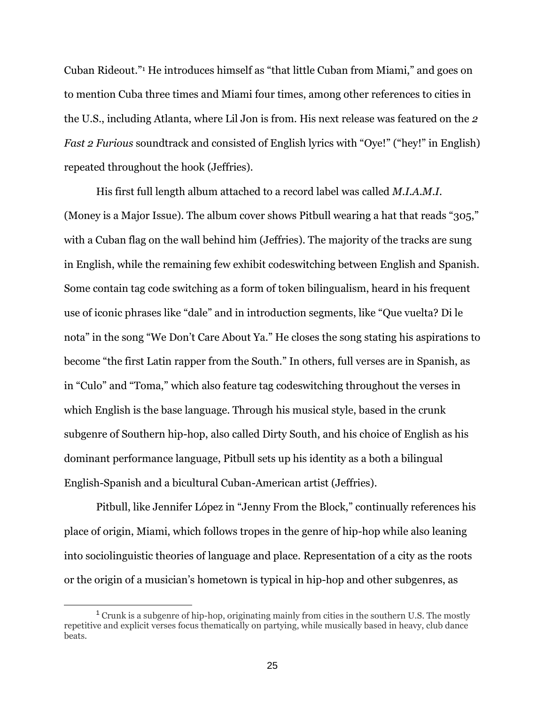Cuban Rideout."<sup>1</sup> He introduces himself as "that little Cuban from Miami," and goes on to mention Cuba three times and Miami four times, among other references to cities in the U.S., including Atlanta, where Lil Jon is from. His next release was featured on the *2 Fast 2 Furious* soundtrack and consisted of English lyrics with "Oye!" ("hey!" in English) repeated throughout the hook (Jeffries).

His first full length album attached to a record label was called *M.I.A.M.I.* (Money is a Major Issue). The album cover shows Pitbull wearing a hat that reads "305," with a Cuban flag on the wall behind him (Jeffries). The majority of the tracks are sung in English, while the remaining few exhibit codeswitching between English and Spanish. Some contain tag code switching as a form of token bilingualism, heard in his frequent use of iconic phrases like "dale" and in introduction segments, like "Que vuelta? Di le nota" in the song "We Don't Care About Ya." He closes the song stating his aspirations to become "the first Latin rapper from the South." In others, full verses are in Spanish, as in "Culo" and "Toma," which also feature tag codeswitching throughout the verses in which English is the base language. Through his musical style, based in the crunk subgenre of Southern hip-hop, also called Dirty South, and his choice of English as his dominant performance language, Pitbull sets up his identity as a both a bilingual English-Spanish and a bicultural Cuban-American artist (Jeffries).

Pitbull, like Jennifer López in "Jenny From the Block," continually references his place of origin, Miami, which follows tropes in the genre of hip-hop while also leaning into sociolinguistic theories of language and place. Representation of a city as the roots or the origin of a musician's hometown is typical in hip-hop and other subgenres, as

 $\overline{a}$ 

<sup>1</sup> Crunk is a subgenre of hip-hop, originating mainly from cities in the southern U.S. The mostly repetitive and explicit verses focus thematically on partying, while musically based in heavy, club dance beats.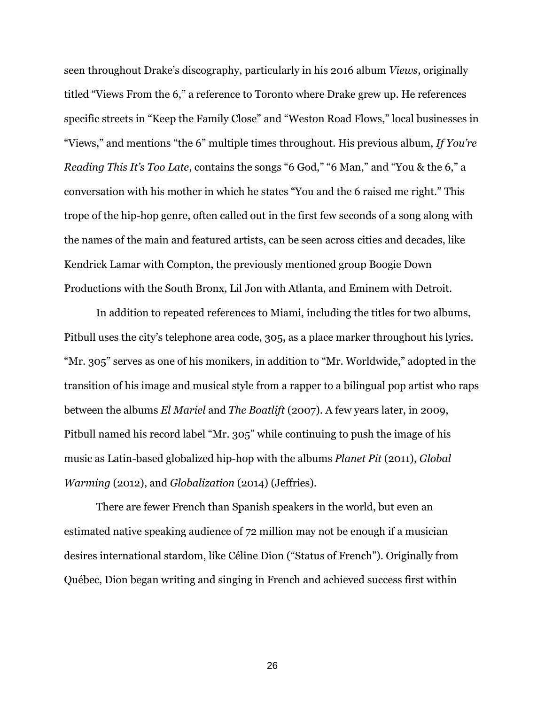seen throughout Drake's discography, particularly in his 2016 album *Views*, originally titled "Views From the 6," a reference to Toronto where Drake grew up. He references specific streets in "Keep the Family Close" and "Weston Road Flows," local businesses in "Views," and mentions "the 6" multiple times throughout. His previous album, *If You're Reading This It's Too Late*, contains the songs "6 God," "6 Man," and "You & the 6," a conversation with his mother in which he states "You and the 6 raised me right." This trope of the hip-hop genre, often called out in the first few seconds of a song along with the names of the main and featured artists, can be seen across cities and decades, like Kendrick Lamar with Compton, the previously mentioned group Boogie Down Productions with the South Bronx, Lil Jon with Atlanta, and Eminem with Detroit.

In addition to repeated references to Miami, including the titles for two albums, Pitbull uses the city's telephone area code, 305, as a place marker throughout his lyrics. "Mr. 305" serves as one of his monikers, in addition to "Mr. Worldwide," adopted in the transition of his image and musical style from a rapper to a bilingual pop artist who raps between the albums *El Mariel* and *The Boatlift* (2007). A few years later, in 2009, Pitbull named his record label "Mr. 305" while continuing to push the image of his music as Latin-based globalized hip-hop with the albums *Planet Pit* (2011), *Global Warming* (2012), and *Globalization* (2014) (Jeffries).

There are fewer French than Spanish speakers in the world, but even an estimated native speaking audience of 72 million may not be enough if a musician desires international stardom, like Céline Dion ("Status of French"). Originally from Québec, Dion began writing and singing in French and achieved success first within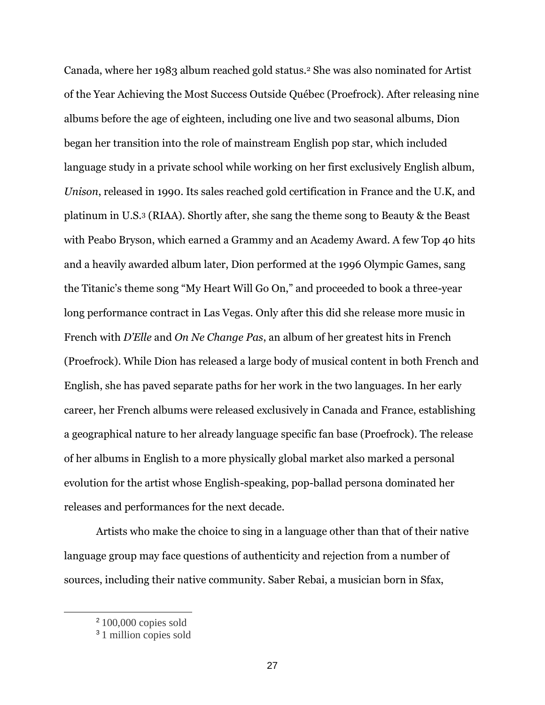Canada, where her 1983 album reached gold status.<sup>2</sup> She was also nominated for Artist of the Year Achieving the Most Success Outside Québec (Proefrock). After releasing nine albums before the age of eighteen, including one live and two seasonal albums, Dion began her transition into the role of mainstream English pop star, which included language study in a private school while working on her first exclusively English album, *Unison*, released in 1990. Its sales reached gold certification in France and the U.K, and platinum in U.S.<sup>3</sup> (RIAA). Shortly after, she sang the theme song to Beauty & the Beast with Peabo Bryson, which earned a Grammy and an Academy Award. A few Top 40 hits and a heavily awarded album later, Dion performed at the 1996 Olympic Games, sang the Titanic's theme song "My Heart Will Go On," and proceeded to book a three-year long performance contract in Las Vegas. Only after this did she release more music in French with *D'Elle* and *On Ne Change Pas*, an album of her greatest hits in French (Proefrock). While Dion has released a large body of musical content in both French and English, she has paved separate paths for her work in the two languages. In her early career, her French albums were released exclusively in Canada and France, establishing a geographical nature to her already language specific fan base (Proefrock). The release of her albums in English to a more physically global market also marked a personal evolution for the artist whose English-speaking, pop-ballad persona dominated her releases and performances for the next decade.

Artists who make the choice to sing in a language other than that of their native language group may face questions of authenticity and rejection from a number of sources, including their native community. Saber Rebai, a musician born in Sfax,

<sup>2</sup> 100,000 copies sold

<sup>&</sup>lt;sup>3</sup> 1 million copies sold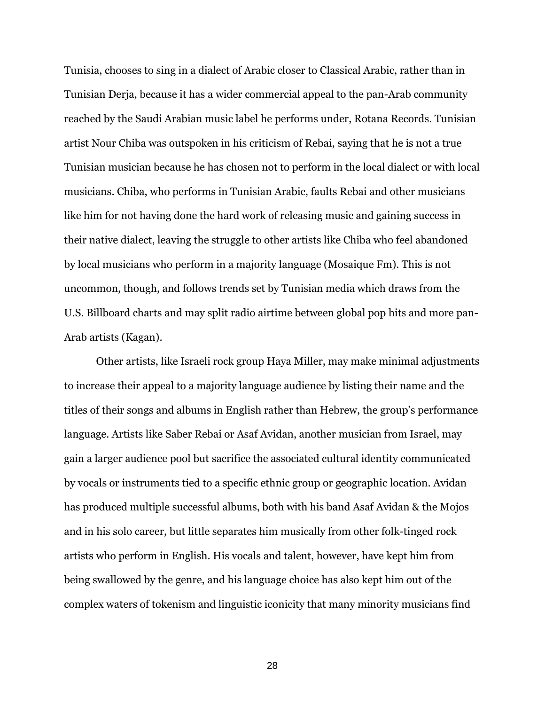Tunisia, chooses to sing in a dialect of Arabic closer to Classical Arabic, rather than in Tunisian Derja, because it has a wider commercial appeal to the pan-Arab community reached by the Saudi Arabian music label he performs under, Rotana Records. Tunisian artist Nour Chiba was outspoken in his criticism of Rebai, saying that he is not a true Tunisian musician because he has chosen not to perform in the local dialect or with local musicians. Chiba, who performs in Tunisian Arabic, faults Rebai and other musicians like him for not having done the hard work of releasing music and gaining success in their native dialect, leaving the struggle to other artists like Chiba who feel abandoned by local musicians who perform in a majority language (Mosaique Fm). This is not uncommon, though, and follows trends set by Tunisian media which draws from the U.S. Billboard charts and may split radio airtime between global pop hits and more pan-Arab artists (Kagan).

Other artists, like Israeli rock group Haya Miller, may make minimal adjustments to increase their appeal to a majority language audience by listing their name and the titles of their songs and albums in English rather than Hebrew, the group's performance language. Artists like Saber Rebai or Asaf Avidan, another musician from Israel, may gain a larger audience pool but sacrifice the associated cultural identity communicated by vocals or instruments tied to a specific ethnic group or geographic location. Avidan has produced multiple successful albums, both with his band Asaf Avidan & the Mojos and in his solo career, but little separates him musically from other folk-tinged rock artists who perform in English. His vocals and talent, however, have kept him from being swallowed by the genre, and his language choice has also kept him out of the complex waters of tokenism and linguistic iconicity that many minority musicians find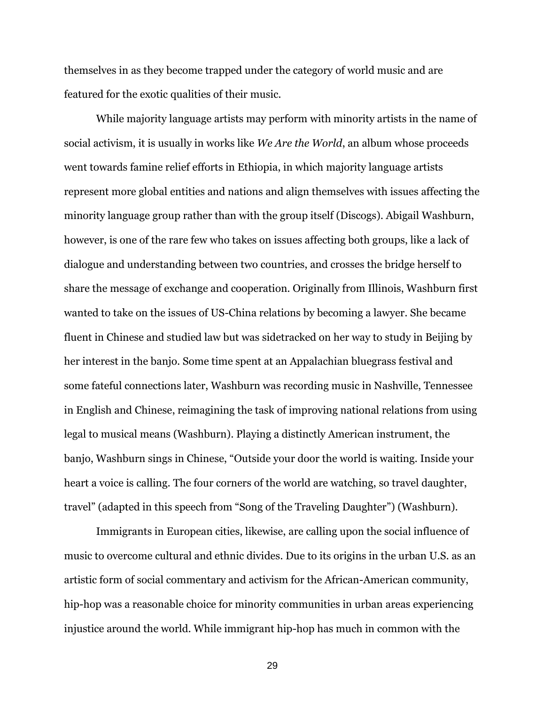themselves in as they become trapped under the category of world music and are featured for the exotic qualities of their music.

While majority language artists may perform with minority artists in the name of social activism, it is usually in works like *We Are the World*, an album whose proceeds went towards famine relief efforts in Ethiopia, in which majority language artists represent more global entities and nations and align themselves with issues affecting the minority language group rather than with the group itself (Discogs). Abigail Washburn, however, is one of the rare few who takes on issues affecting both groups, like a lack of dialogue and understanding between two countries, and crosses the bridge herself to share the message of exchange and cooperation. Originally from Illinois, Washburn first wanted to take on the issues of US-China relations by becoming a lawyer. She became fluent in Chinese and studied law but was sidetracked on her way to study in Beijing by her interest in the banjo. Some time spent at an Appalachian bluegrass festival and some fateful connections later, Washburn was recording music in Nashville, Tennessee in English and Chinese, reimagining the task of improving national relations from using legal to musical means (Washburn). Playing a distinctly American instrument, the banjo, Washburn sings in Chinese, "Outside your door the world is waiting. Inside your heart a voice is calling. The four corners of the world are watching, so travel daughter, travel" (adapted in this speech from "Song of the Traveling Daughter") (Washburn).

Immigrants in European cities, likewise, are calling upon the social influence of music to overcome cultural and ethnic divides. Due to its origins in the urban U.S. as an artistic form of social commentary and activism for the African-American community, hip-hop was a reasonable choice for minority communities in urban areas experiencing injustice around the world. While immigrant hip-hop has much in common with the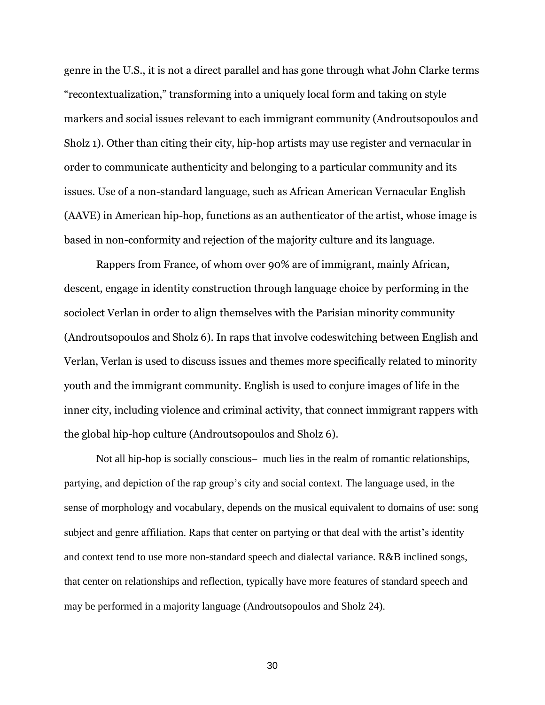genre in the U.S., it is not a direct parallel and has gone through what John Clarke terms "recontextualization," transforming into a uniquely local form and taking on style markers and social issues relevant to each immigrant community (Androutsopoulos and Sholz 1). Other than citing their city, hip-hop artists may use register and vernacular in order to communicate authenticity and belonging to a particular community and its issues. Use of a non-standard language, such as African American Vernacular English (AAVE) in American hip-hop, functions as an authenticator of the artist, whose image is based in non-conformity and rejection of the majority culture and its language.

Rappers from France, of whom over 90% are of immigrant, mainly African, descent, engage in identity construction through language choice by performing in the sociolect Verlan in order to align themselves with the Parisian minority community (Androutsopoulos and Sholz 6). In raps that involve codeswitching between English and Verlan, Verlan is used to discuss issues and themes more specifically related to minority youth and the immigrant community. English is used to conjure images of life in the inner city, including violence and criminal activity, that connect immigrant rappers with the global hip-hop culture (Androutsopoulos and Sholz 6).

Not all hip-hop is socially conscious— much lies in the realm of romantic relationships, partying, and depiction of the rap group's city and social context. The language used, in the sense of morphology and vocabulary, depends on the musical equivalent to domains of use: song subject and genre affiliation. Raps that center on partying or that deal with the artist's identity and context tend to use more non-standard speech and dialectal variance. R&B inclined songs, that center on relationships and reflection, typically have more features of standard speech and may be performed in a majority language (Androutsopoulos and Sholz 24).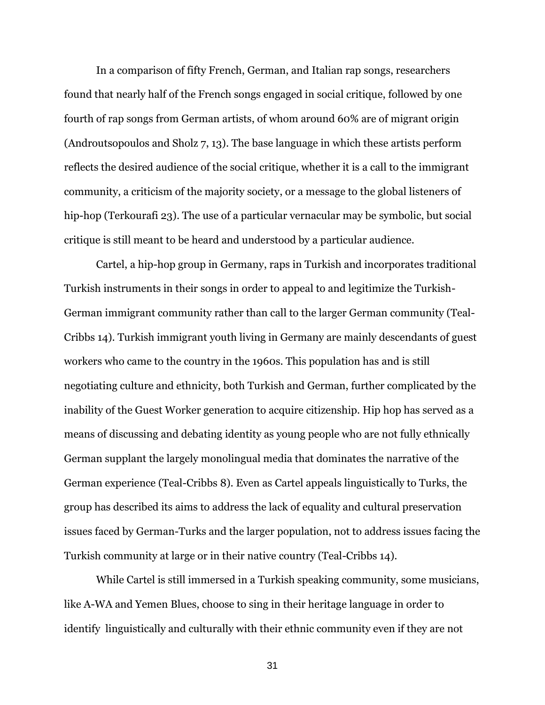In a comparison of fifty French, German, and Italian rap songs, researchers found that nearly half of the French songs engaged in social critique, followed by one fourth of rap songs from German artists, of whom around 60% are of migrant origin (Androutsopoulos and Sholz 7, 13). The base language in which these artists perform reflects the desired audience of the social critique, whether it is a call to the immigrant community, a criticism of the majority society, or a message to the global listeners of hip-hop (Terkourafi 23). The use of a particular vernacular may be symbolic, but social critique is still meant to be heard and understood by a particular audience.

Cartel, a hip-hop group in Germany, raps in Turkish and incorporates traditional Turkish instruments in their songs in order to appeal to and legitimize the Turkish-German immigrant community rather than call to the larger German community (Teal-Cribbs 14). Turkish immigrant youth living in Germany are mainly descendants of guest workers who came to the country in the 1960s. This population has and is still negotiating culture and ethnicity, both Turkish and German, further complicated by the inability of the Guest Worker generation to acquire citizenship. Hip hop has served as a means of discussing and debating identity as young people who are not fully ethnically German supplant the largely monolingual media that dominates the narrative of the German experience (Teal-Cribbs 8). Even as Cartel appeals linguistically to Turks, the group has described its aims to address the lack of equality and cultural preservation issues faced by German-Turks and the larger population, not to address issues facing the Turkish community at large or in their native country (Teal-Cribbs 14).

While Cartel is still immersed in a Turkish speaking community, some musicians, like A-WA and Yemen Blues, choose to sing in their heritage language in order to identify linguistically and culturally with their ethnic community even if they are not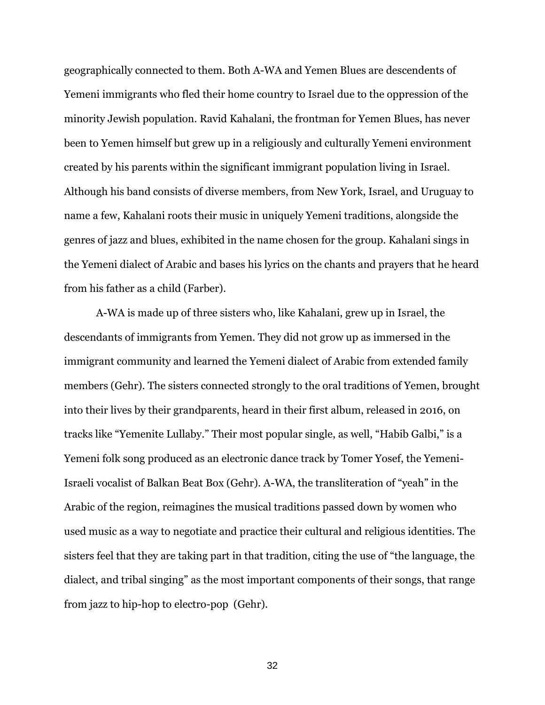geographically connected to them. Both A-WA and Yemen Blues are descendents of Yemeni immigrants who fled their home country to Israel due to the oppression of the minority Jewish population. Ravid Kahalani, the frontman for Yemen Blues, has never been to Yemen himself but grew up in a religiously and culturally Yemeni environment created by his parents within the significant immigrant population living in Israel. Although his band consists of diverse members, from New York, Israel, and Uruguay to name a few, Kahalani roots their music in uniquely Yemeni traditions, alongside the genres of jazz and blues, exhibited in the name chosen for the group. Kahalani sings in the Yemeni dialect of Arabic and bases his lyrics on the chants and prayers that he heard from his father as a child (Farber).

A-WA is made up of three sisters who, like Kahalani, grew up in Israel, the descendants of immigrants from Yemen. They did not grow up as immersed in the immigrant community and learned the Yemeni dialect of Arabic from extended family members (Gehr). The sisters connected strongly to the oral traditions of Yemen, brought into their lives by their grandparents, heard in their first album, released in 2016, on tracks like "Yemenite Lullaby." Their most popular single, as well, "Habib Galbi," is a Yemeni folk song produced as an electronic dance track by Tomer Yosef, the Yemeni-Israeli vocalist of Balkan Beat Box (Gehr). A-WA, the transliteration of "yeah" in the Arabic of the region, reimagines the musical traditions passed down by women who used music as a way to negotiate and practice their cultural and religious identities. The sisters feel that they are taking part in that tradition, citing the use of "the language, the dialect, and tribal singing" as the most important components of their songs, that range from jazz to hip-hop to electro-pop (Gehr).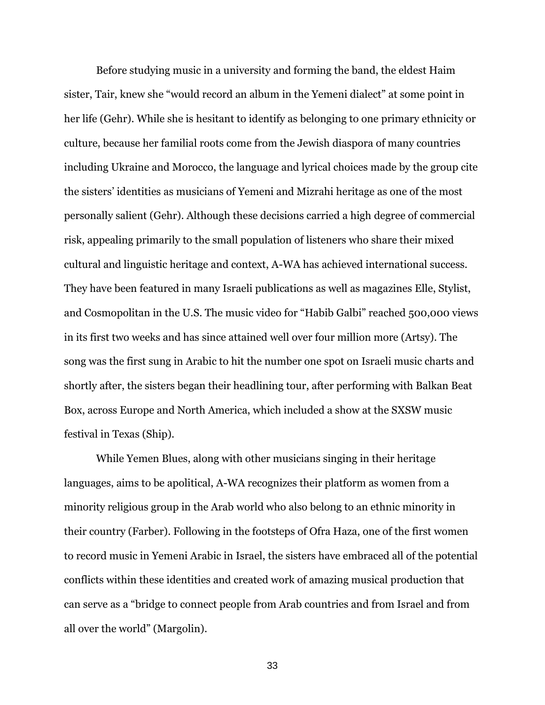Before studying music in a university and forming the band, the eldest Haim sister, Tair, knew she "would record an album in the Yemeni dialect" at some point in her life (Gehr). While she is hesitant to identify as belonging to one primary ethnicity or culture, because her familial roots come from the Jewish diaspora of many countries including Ukraine and Morocco, the language and lyrical choices made by the group cite the sisters' identities as musicians of Yemeni and Mizrahi heritage as one of the most personally salient (Gehr). Although these decisions carried a high degree of commercial risk, appealing primarily to the small population of listeners who share their mixed cultural and linguistic heritage and context, A-WA has achieved international success. They have been featured in many Israeli publications as well as magazines Elle, Stylist, and Cosmopolitan in the U.S. The music video for "Habib Galbi" reached 500,000 views in its first two weeks and has since attained well over four million more (Artsy). The song was the first sung in Arabic to hit the number one spot on Israeli music charts and shortly after, the sisters began their headlining tour, after performing with Balkan Beat Box, across Europe and North America, which included a show at the SXSW music festival in Texas (Ship).

While Yemen Blues, along with other musicians singing in their heritage languages, aims to be apolitical, A-WA recognizes their platform as women from a minority religious group in the Arab world who also belong to an ethnic minority in their country (Farber). Following in the footsteps of Ofra Haza, one of the first women to record music in Yemeni Arabic in Israel, the sisters have embraced all of the potential conflicts within these identities and created work of amazing musical production that can serve as a "bridge to connect people from Arab countries and from Israel and from all over the world" (Margolin).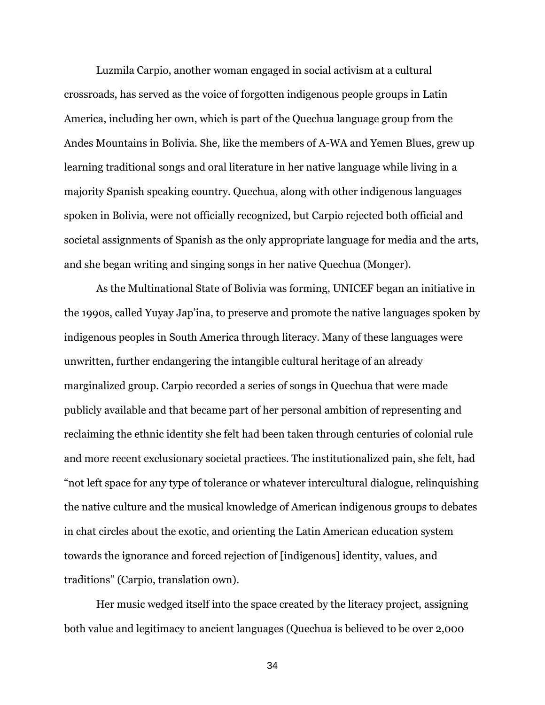Luzmila Carpio, another woman engaged in social activism at a cultural crossroads, has served as the voice of forgotten indigenous people groups in Latin America, including her own, which is part of the Quechua language group from the Andes Mountains in Bolivia. She, like the members of A-WA and Yemen Blues, grew up learning traditional songs and oral literature in her native language while living in a majority Spanish speaking country. Quechua, along with other indigenous languages spoken in Bolivia, were not officially recognized, but Carpio rejected both official and societal assignments of Spanish as the only appropriate language for media and the arts, and she began writing and singing songs in her native Quechua (Monger).

As the Multinational State of Bolivia was forming, UNICEF began an initiative in the 1990s, called Yuyay Jap'ina, to preserve and promote the native languages spoken by indigenous peoples in South America through literacy. Many of these languages were unwritten, further endangering the intangible cultural heritage of an already marginalized group. Carpio recorded a series of songs in Quechua that were made publicly available and that became part of her personal ambition of representing and reclaiming the ethnic identity she felt had been taken through centuries of colonial rule and more recent exclusionary societal practices. The institutionalized pain, she felt, had "not left space for any type of tolerance or whatever intercultural dialogue, relinquishing the native culture and the musical knowledge of American indigenous groups to debates in chat circles about the exotic, and orienting the Latin American education system towards the ignorance and forced rejection of [indigenous] identity, values, and traditions" (Carpio, translation own).

Her music wedged itself into the space created by the literacy project, assigning both value and legitimacy to ancient languages (Quechua is believed to be over 2,000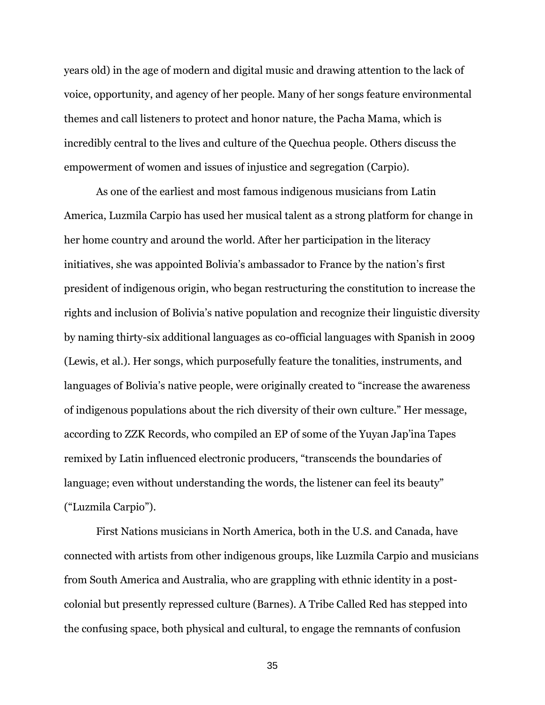years old) in the age of modern and digital music and drawing attention to the lack of voice, opportunity, and agency of her people. Many of her songs feature environmental themes and call listeners to protect and honor nature, the Pacha Mama, which is incredibly central to the lives and culture of the Quechua people. Others discuss the empowerment of women and issues of injustice and segregation (Carpio).

As one of the earliest and most famous indigenous musicians from Latin America, Luzmila Carpio has used her musical talent as a strong platform for change in her home country and around the world. After her participation in the literacy initiatives, she was appointed Bolivia's ambassador to France by the nation's first president of indigenous origin, who began restructuring the constitution to increase the rights and inclusion of Bolivia's native population and recognize their linguistic diversity by naming thirty-six additional languages as co-official languages with Spanish in 2009 (Lewis, et al.). Her songs, which purposefully feature the tonalities, instruments, and languages of Bolivia's native people, were originally created to "increase the awareness of indigenous populations about the rich diversity of their own culture." Her message, according to ZZK Records, who compiled an EP of some of the Yuyan Jap'ina Tapes remixed by Latin influenced electronic producers, "transcends the boundaries of language; even without understanding the words, the listener can feel its beauty" ("Luzmila Carpio").

First Nations musicians in North America, both in the U.S. and Canada, have connected with artists from other indigenous groups, like Luzmila Carpio and musicians from South America and Australia, who are grappling with ethnic identity in a postcolonial but presently repressed culture (Barnes). A Tribe Called Red has stepped into the confusing space, both physical and cultural, to engage the remnants of confusion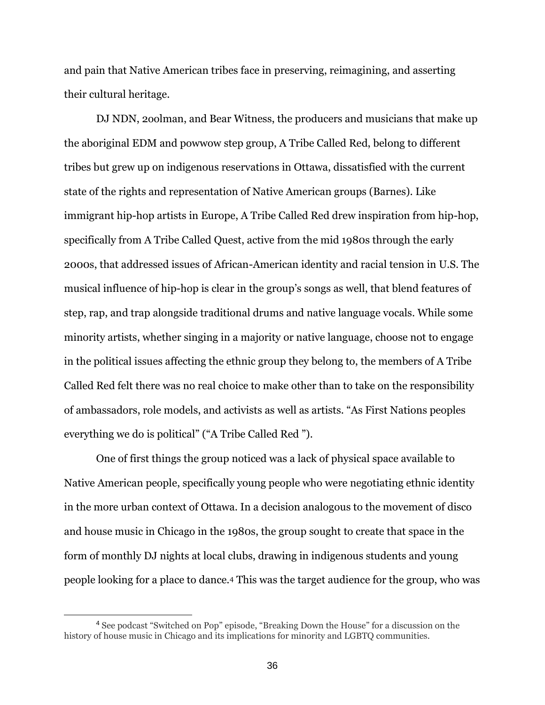and pain that Native American tribes face in preserving, reimagining, and asserting their cultural heritage.

DJ NDN, 2oolman, and Bear Witness, the producers and musicians that make up the aboriginal EDM and powwow step group, A Tribe Called Red, belong to different tribes but grew up on indigenous reservations in Ottawa, dissatisfied with the current state of the rights and representation of Native American groups (Barnes). Like immigrant hip-hop artists in Europe, A Tribe Called Red drew inspiration from hip-hop, specifically from A Tribe Called Quest, active from the mid 1980s through the early 2000s, that addressed issues of African-American identity and racial tension in U.S. The musical influence of hip-hop is clear in the group's songs as well, that blend features of step, rap, and trap alongside traditional drums and native language vocals. While some minority artists, whether singing in a majority or native language, choose not to engage in the political issues affecting the ethnic group they belong to, the members of A Tribe Called Red felt there was no real choice to make other than to take on the responsibility of ambassadors, role models, and activists as well as artists. "As First Nations peoples everything we do is political" ("A Tribe Called Red ").

One of first things the group noticed was a lack of physical space available to Native American people, specifically young people who were negotiating ethnic identity in the more urban context of Ottawa. In a decision analogous to the movement of disco and house music in Chicago in the 1980s, the group sought to create that space in the form of monthly DJ nights at local clubs, drawing in indigenous students and young people looking for a place to dance.<sup>4</sup> This was the target audience for the group, who was

 $\overline{a}$ 

<sup>4</sup> See podcast "Switched on Pop" episode, "Breaking Down the House" for a discussion on the history of house music in Chicago and its implications for minority and LGBTQ communities.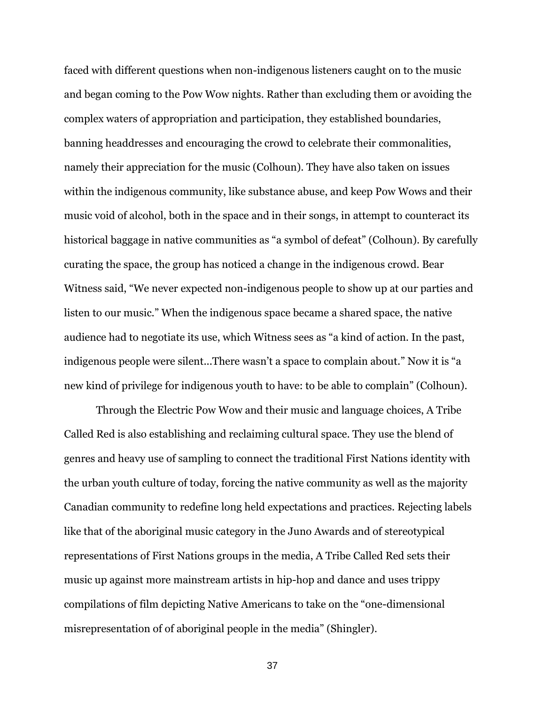faced with different questions when non-indigenous listeners caught on to the music and began coming to the Pow Wow nights. Rather than excluding them or avoiding the complex waters of appropriation and participation, they established boundaries, banning headdresses and encouraging the crowd to celebrate their commonalities, namely their appreciation for the music (Colhoun). They have also taken on issues within the indigenous community, like substance abuse, and keep Pow Wows and their music void of alcohol, both in the space and in their songs, in attempt to counteract its historical baggage in native communities as "a symbol of defeat" (Colhoun). By carefully curating the space, the group has noticed a change in the indigenous crowd. Bear Witness said, "We never expected non-indigenous people to show up at our parties and listen to our music." When the indigenous space became a shared space, the native audience had to negotiate its use, which Witness sees as "a kind of action. In the past, indigenous people were silent...There wasn't a space to complain about." Now it is "a new kind of privilege for indigenous youth to have: to be able to complain" (Colhoun).

Through the Electric Pow Wow and their music and language choices, A Tribe Called Red is also establishing and reclaiming cultural space. They use the blend of genres and heavy use of sampling to connect the traditional First Nations identity with the urban youth culture of today, forcing the native community as well as the majority Canadian community to redefine long held expectations and practices. Rejecting labels like that of the aboriginal music category in the Juno Awards and of stereotypical representations of First Nations groups in the media, A Tribe Called Red sets their music up against more mainstream artists in hip-hop and dance and uses trippy compilations of film depicting Native Americans to take on the "one-dimensional misrepresentation of of aboriginal people in the media" (Shingler).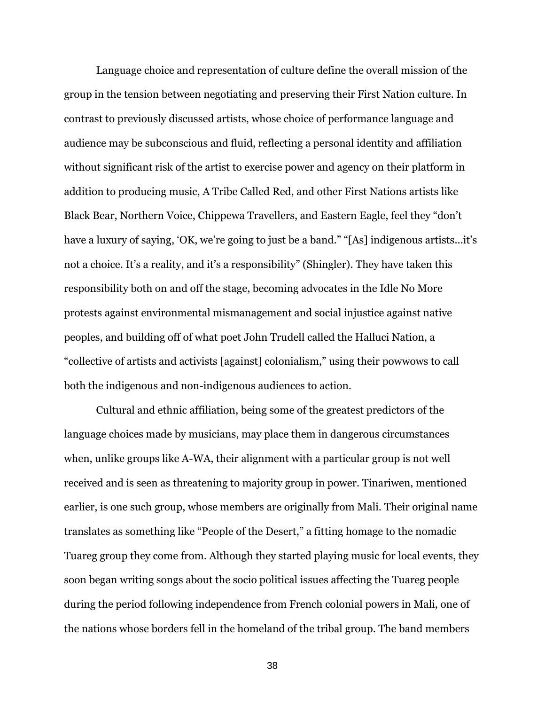Language choice and representation of culture define the overall mission of the group in the tension between negotiating and preserving their First Nation culture. In contrast to previously discussed artists, whose choice of performance language and audience may be subconscious and fluid, reflecting a personal identity and affiliation without significant risk of the artist to exercise power and agency on their platform in addition to producing music, A Tribe Called Red, and other First Nations artists like Black Bear, Northern Voice, Chippewa Travellers, and Eastern Eagle, feel they "don't have a luxury of saying, 'OK, we're going to just be a band." "[As] indigenous artists...it's not a choice. It's a reality, and it's a responsibility" (Shingler). They have taken this responsibility both on and off the stage, becoming advocates in the Idle No More protests against environmental mismanagement and social injustice against native peoples, and building off of what poet John Trudell called the Halluci Nation, a "collective of artists and activists [against] colonialism," using their powwows to call both the indigenous and non-indigenous audiences to action.

Cultural and ethnic affiliation, being some of the greatest predictors of the language choices made by musicians, may place them in dangerous circumstances when, unlike groups like A-WA, their alignment with a particular group is not well received and is seen as threatening to majority group in power. Tinariwen, mentioned earlier, is one such group, whose members are originally from Mali. Their original name translates as something like "People of the Desert," a fitting homage to the nomadic Tuareg group they come from. Although they started playing music for local events, they soon began writing songs about the socio political issues affecting the Tuareg people during the period following independence from French colonial powers in Mali, one of the nations whose borders fell in the homeland of the tribal group. The band members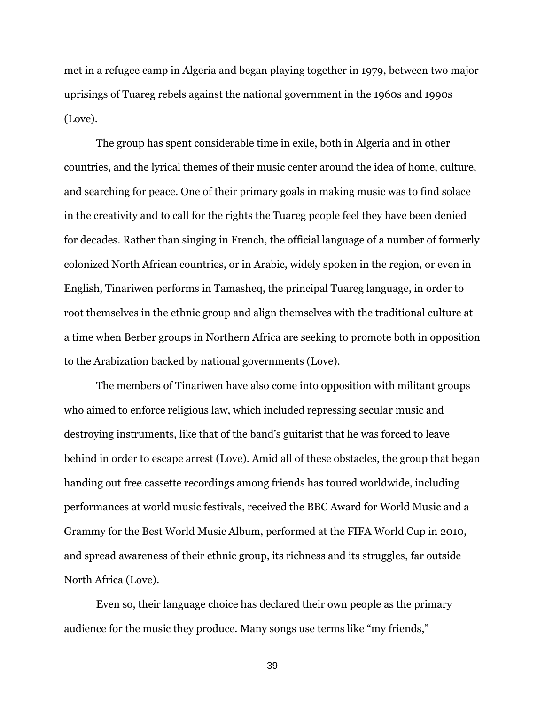met in a refugee camp in Algeria and began playing together in 1979, between two major uprisings of Tuareg rebels against the national government in the 1960s and 1990s (Love).

The group has spent considerable time in exile, both in Algeria and in other countries, and the lyrical themes of their music center around the idea of home, culture, and searching for peace. One of their primary goals in making music was to find solace in the creativity and to call for the rights the Tuareg people feel they have been denied for decades. Rather than singing in French, the official language of a number of formerly colonized North African countries, or in Arabic, widely spoken in the region, or even in English, Tinariwen performs in Tamasheq, the principal Tuareg language, in order to root themselves in the ethnic group and align themselves with the traditional culture at a time when Berber groups in Northern Africa are seeking to promote both in opposition to the Arabization backed by national governments (Love).

The members of Tinariwen have also come into opposition with militant groups who aimed to enforce religious law, which included repressing secular music and destroying instruments, like that of the band's guitarist that he was forced to leave behind in order to escape arrest (Love). Amid all of these obstacles, the group that began handing out free cassette recordings among friends has toured worldwide, including performances at world music festivals, received the BBC Award for World Music and a Grammy for the Best World Music Album, performed at the FIFA World Cup in 2010, and spread awareness of their ethnic group, its richness and its struggles, far outside North Africa (Love).

Even so, their language choice has declared their own people as the primary audience for the music they produce. Many songs use terms like "my friends,"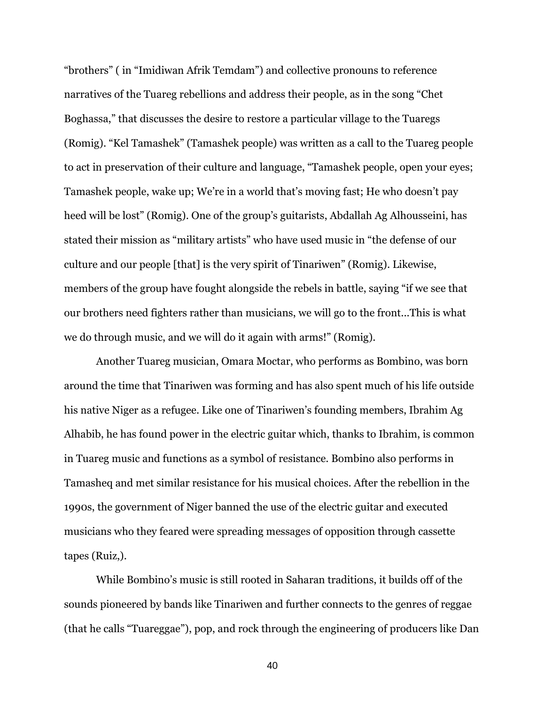"brothers" ( in "Imidiwan Afrik Temdam") and collective pronouns to reference narratives of the Tuareg rebellions and address their people, as in the song "Chet Boghassa," that discusses the desire to restore a particular village to the Tuaregs (Romig). "Kel Tamashek" (Tamashek people) was written as a call to the Tuareg people to act in preservation of their culture and language, "Tamashek people, open your eyes; Tamashek people, wake up; We're in a world that's moving fast; He who doesn't pay heed will be lost" (Romig). One of the group's guitarists, Abdallah Ag Alhousseini, has stated their mission as "military artists" who have used music in "the defense of our culture and our people [that] is the very spirit of Tinariwen" (Romig). Likewise, members of the group have fought alongside the rebels in battle, saying "if we see that our brothers need fighters rather than musicians, we will go to the front...This is what we do through music, and we will do it again with arms!" (Romig).

Another Tuareg musician, Omara Moctar, who performs as Bombino, was born around the time that Tinariwen was forming and has also spent much of his life outside his native Niger as a refugee. Like one of Tinariwen's founding members, Ibrahim Ag Alhabib, he has found power in the electric guitar which, thanks to Ibrahim, is common in Tuareg music and functions as a symbol of resistance. Bombino also performs in Tamasheq and met similar resistance for his musical choices. After the rebellion in the 1990s, the government of Niger banned the use of the electric guitar and executed musicians who they feared were spreading messages of opposition through cassette tapes (Ruiz,).

While Bombino's music is still rooted in Saharan traditions, it builds off of the sounds pioneered by bands like Tinariwen and further connects to the genres of reggae (that he calls "Tuareggae"), pop, and rock through the engineering of producers like Dan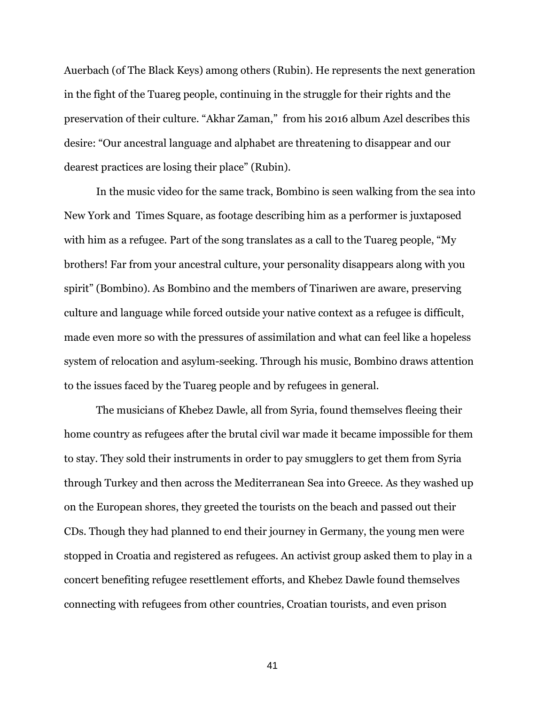Auerbach (of The Black Keys) among others (Rubin). He represents the next generation in the fight of the Tuareg people, continuing in the struggle for their rights and the preservation of their culture. "Akhar Zaman," from his 2016 album Azel describes this desire: "Our ancestral language and alphabet are threatening to disappear and our dearest practices are losing their place" (Rubin).

In the music video for the same track, Bombino is seen walking from the sea into New York and Times Square, as footage describing him as a performer is juxtaposed with him as a refugee. Part of the song translates as a call to the Tuareg people, "My brothers! Far from your ancestral culture, your personality disappears along with you spirit" (Bombino). As Bombino and the members of Tinariwen are aware, preserving culture and language while forced outside your native context as a refugee is difficult, made even more so with the pressures of assimilation and what can feel like a hopeless system of relocation and asylum-seeking. Through his music, Bombino draws attention to the issues faced by the Tuareg people and by refugees in general.

The musicians of Khebez Dawle, all from Syria, found themselves fleeing their home country as refugees after the brutal civil war made it became impossible for them to stay. They sold their instruments in order to pay smugglers to get them from Syria through Turkey and then across the Mediterranean Sea into Greece. As they washed up on the European shores, they greeted the tourists on the beach and passed out their CDs. Though they had planned to end their journey in Germany, the young men were stopped in Croatia and registered as refugees. An activist group asked them to play in a concert benefiting refugee resettlement efforts, and Khebez Dawle found themselves connecting with refugees from other countries, Croatian tourists, and even prison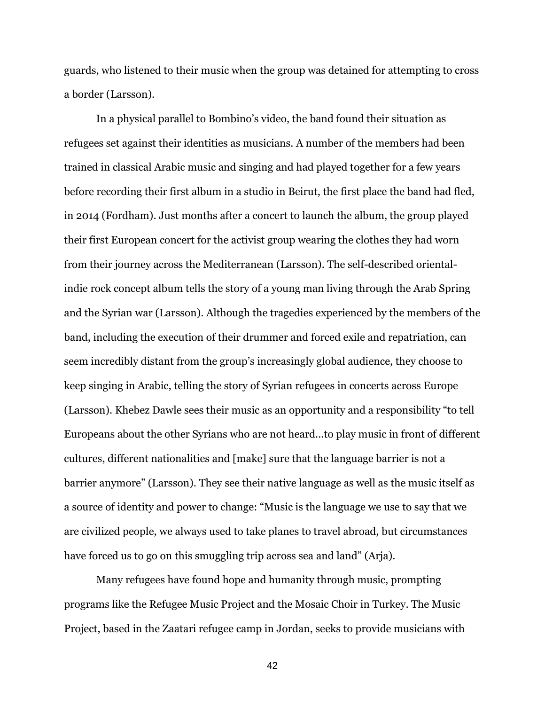guards, who listened to their music when the group was detained for attempting to cross a border (Larsson).

In a physical parallel to Bombino's video, the band found their situation as refugees set against their identities as musicians. A number of the members had been trained in classical Arabic music and singing and had played together for a few years before recording their first album in a studio in Beirut, the first place the band had fled, in 2014 (Fordham). Just months after a concert to launch the album, the group played their first European concert for the activist group wearing the clothes they had worn from their journey across the Mediterranean (Larsson). The self-described orientalindie rock concept album tells the story of a young man living through the Arab Spring and the Syrian war (Larsson). Although the tragedies experienced by the members of the band, including the execution of their drummer and forced exile and repatriation, can seem incredibly distant from the group's increasingly global audience, they choose to keep singing in Arabic, telling the story of Syrian refugees in concerts across Europe (Larsson). Khebez Dawle sees their music as an opportunity and a responsibility "to tell Europeans about the other Syrians who are not heard...to play music in front of different cultures, different nationalities and [make] sure that the language barrier is not a barrier anymore" (Larsson). They see their native language as well as the music itself as a source of identity and power to change: "Music is the language we use to say that we are civilized people, we always used to take planes to travel abroad, but circumstances have forced us to go on this smuggling trip across sea and land" (Arja).

Many refugees have found hope and humanity through music, prompting programs like the Refugee Music Project and the Mosaic Choir in Turkey. The Music Project, based in the Zaatari refugee camp in Jordan, seeks to provide musicians with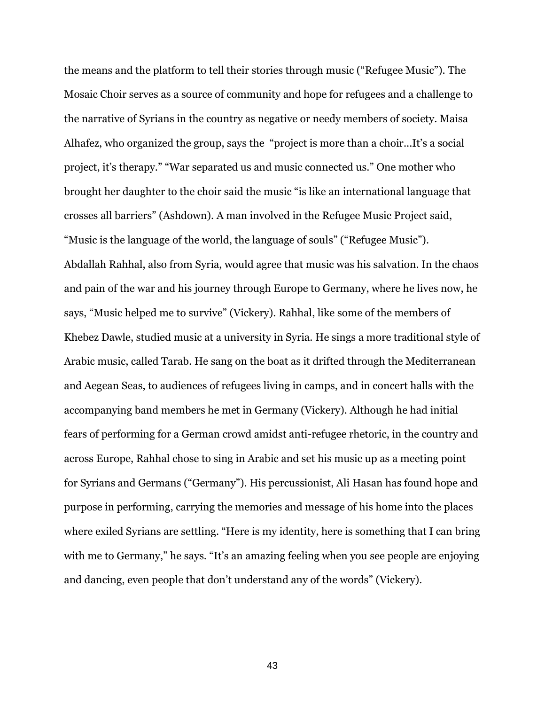the means and the platform to tell their stories through music ("Refugee Music"). The Mosaic Choir serves as a source of community and hope for refugees and a challenge to the narrative of Syrians in the country as negative or needy members of society. Maisa Alhafez, who organized the group, says the "project is more than a choir...It's a social project, it's therapy." "War separated us and music connected us." One mother who brought her daughter to the choir said the music "is like an international language that crosses all barriers" (Ashdown). A man involved in the Refugee Music Project said, "Music is the language of the world, the language of souls" ("Refugee Music"). Abdallah Rahhal, also from Syria, would agree that music was his salvation. In the chaos and pain of the war and his journey through Europe to Germany, where he lives now, he says, "Music helped me to survive" (Vickery). Rahhal, like some of the members of Khebez Dawle, studied music at a university in Syria. He sings a more traditional style of Arabic music, called Tarab. He sang on the boat as it drifted through the Mediterranean and Aegean Seas, to audiences of refugees living in camps, and in concert halls with the accompanying band members he met in Germany (Vickery). Although he had initial fears of performing for a German crowd amidst anti-refugee rhetoric, in the country and across Europe, Rahhal chose to sing in Arabic and set his music up as a meeting point for Syrians and Germans ("Germany"). His percussionist, Ali Hasan has found hope and purpose in performing, carrying the memories and message of his home into the places where exiled Syrians are settling. "Here is my identity, here is something that I can bring with me to Germany," he says. "It's an amazing feeling when you see people are enjoying and dancing, even people that don't understand any of the words" (Vickery).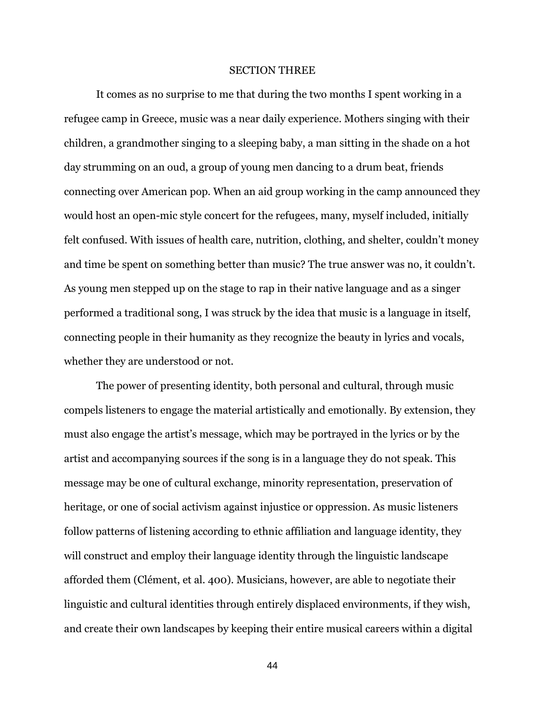#### SECTION THREE

It comes as no surprise to me that during the two months I spent working in a refugee camp in Greece, music was a near daily experience. Mothers singing with their children, a grandmother singing to a sleeping baby, a man sitting in the shade on a hot day strumming on an oud, a group of young men dancing to a drum beat, friends connecting over American pop. When an aid group working in the camp announced they would host an open-mic style concert for the refugees, many, myself included, initially felt confused. With issues of health care, nutrition, clothing, and shelter, couldn't money and time be spent on something better than music? The true answer was no, it couldn't. As young men stepped up on the stage to rap in their native language and as a singer performed a traditional song, I was struck by the idea that music is a language in itself, connecting people in their humanity as they recognize the beauty in lyrics and vocals, whether they are understood or not.

The power of presenting identity, both personal and cultural, through music compels listeners to engage the material artistically and emotionally. By extension, they must also engage the artist's message, which may be portrayed in the lyrics or by the artist and accompanying sources if the song is in a language they do not speak. This message may be one of cultural exchange, minority representation, preservation of heritage, or one of social activism against injustice or oppression. As music listeners follow patterns of listening according to ethnic affiliation and language identity, they will construct and employ their language identity through the linguistic landscape afforded them (Clément, et al. 400). Musicians, however, are able to negotiate their linguistic and cultural identities through entirely displaced environments, if they wish, and create their own landscapes by keeping their entire musical careers within a digital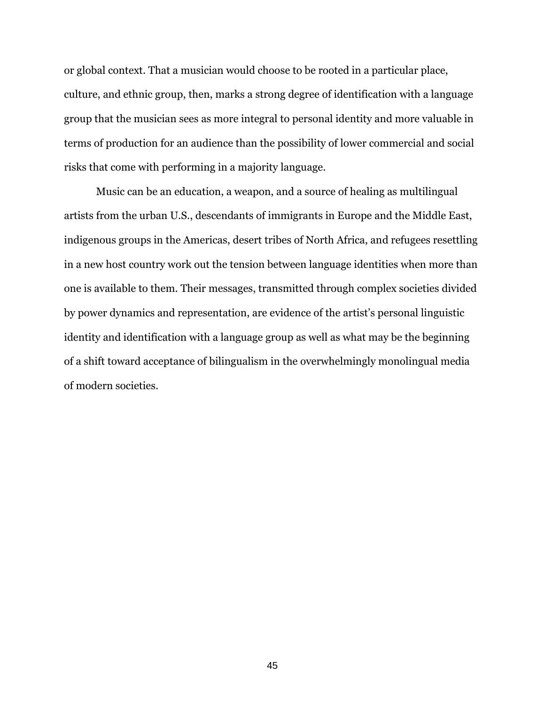or global context. That a musician would choose to be rooted in a particular place, culture, and ethnic group, then, marks a strong degree of identification with a language group that the musician sees as more integral to personal identity and more valuable in terms of production for an audience than the possibility of lower commercial and social risks that come with performing in a majority language.

Music can be an education, a weapon, and a source of healing as multilingual artists from the urban U.S., descendants of immigrants in Europe and the Middle East, indigenous groups in the Americas, desert tribes of North Africa, and refugees resettling in a new host country work out the tension between language identities when more than one is available to them. Their messages, transmitted through complex societies divided by power dynamics and representation, are evidence of the artist's personal linguistic identity and identification with a language group as well as what may be the beginning of a shift toward acceptance of bilingualism in the overwhelmingly monolingual media of modern societies.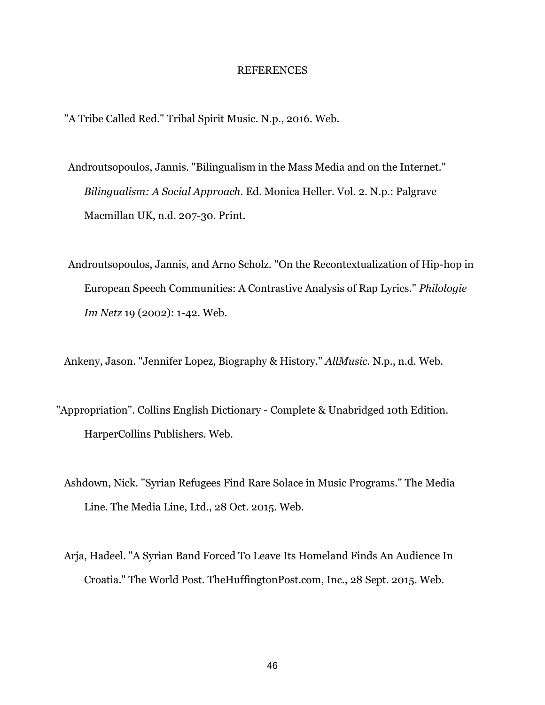#### REFERENCES

"A Tribe Called Red." Tribal Spirit Music. N.p., 2016. Web.

- Androutsopoulos, Jannis. "Bilingualism in the Mass Media and on the Internet." *Bilingualism: A Social Approach*. Ed. Monica Heller. Vol. 2. N.p.: Palgrave Macmillan UK, n.d. 207-30. Print.
- Androutsopoulos, Jannis, and Arno Scholz. "On the Recontextualization of Hip-hop in European Speech Communities: A Contrastive Analysis of Rap Lyrics." *Philologie Im Netz* 19 (2002): 1-42. Web.

Ankeny, Jason. "Jennifer Lopez, Biography & History." *AllMusic*. N.p., n.d. Web.

- "Appropriation". Collins English Dictionary Complete & Unabridged 10th Edition. HarperCollins Publishers. Web.
	- Ashdown, Nick. "Syrian Refugees Find Rare Solace in Music Programs." The Media Line. The Media Line, Ltd., 28 Oct. 2015. Web.
	- Arja, Hadeel. "A Syrian Band Forced To Leave Its Homeland Finds An Audience In Croatia." The World Post. TheHuffingtonPost.com, Inc., 28 Sept. 2015. Web.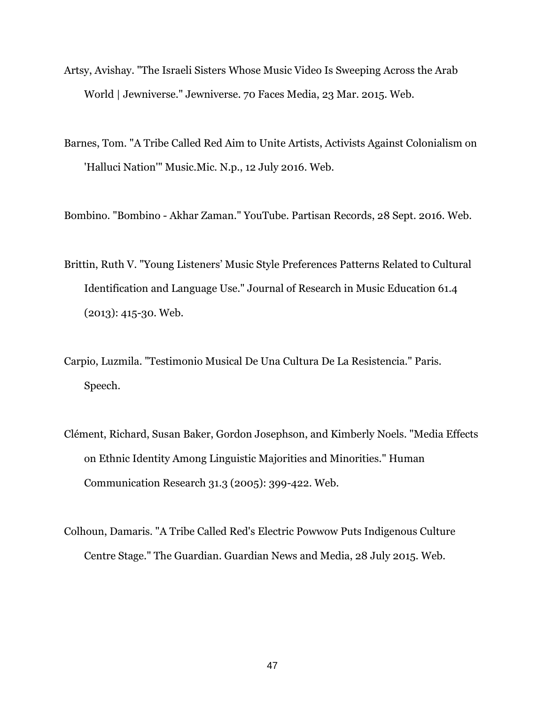- Artsy, Avishay. "The Israeli Sisters Whose Music Video Is Sweeping Across the Arab World | Jewniverse." Jewniverse. 70 Faces Media, 23 Mar. 2015. Web.
- Barnes, Tom. "A Tribe Called Red Aim to Unite Artists, Activists Against Colonialism on 'Halluci Nation'" Music.Mic. N.p., 12 July 2016. Web.
- Bombino. "Bombino Akhar Zaman." YouTube. Partisan Records, 28 Sept. 2016. Web.
- Brittin, Ruth V. "Young Listeners' Music Style Preferences Patterns Related to Cultural Identification and Language Use." Journal of Research in Music Education 61.4 (2013): 415-30. Web.
- Carpio, Luzmila. "Testimonio Musical De Una Cultura De La Resistencia." Paris. Speech.
- Clément, Richard, Susan Baker, Gordon Josephson, and Kimberly Noels. "Media Effects on Ethnic Identity Among Linguistic Majorities and Minorities." Human Communication Research 31.3 (2005): 399-422. Web.
- Colhoun, Damaris. "A Tribe Called Red's Electric Powwow Puts Indigenous Culture Centre Stage." The Guardian. Guardian News and Media, 28 July 2015. Web.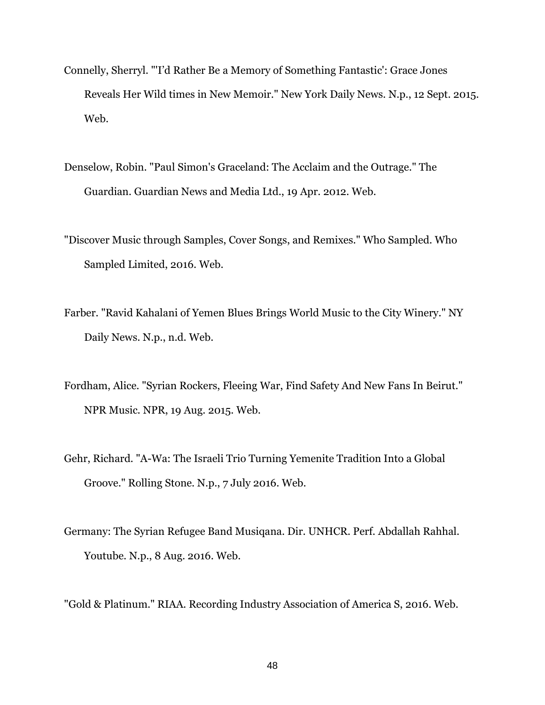- Connelly, Sherryl. "'I'd Rather Be a Memory of Something Fantastic': Grace Jones Reveals Her Wild times in New Memoir." New York Daily News. N.p., 12 Sept. 2015. Web.
- Denselow, Robin. "Paul Simon's Graceland: The Acclaim and the Outrage." The Guardian. Guardian News and Media Ltd., 19 Apr. 2012. Web.
- "Discover Music through Samples, Cover Songs, and Remixes." Who Sampled. Who Sampled Limited, 2016. Web.
- Farber. "Ravid Kahalani of Yemen Blues Brings World Music to the City Winery." NY Daily News. N.p., n.d. Web.
- Fordham, Alice. "Syrian Rockers, Fleeing War, Find Safety And New Fans In Beirut." NPR Music. NPR, 19 Aug. 2015. Web.
- Gehr, Richard. "A-Wa: The Israeli Trio Turning Yemenite Tradition Into a Global Groove." Rolling Stone. N.p., 7 July 2016. Web.
- Germany: The Syrian Refugee Band Musiqana. Dir. UNHCR. Perf. Abdallah Rahhal. Youtube. N.p., 8 Aug. 2016. Web.

"Gold & Platinum." RIAA. Recording Industry Association of America S, 2016. Web.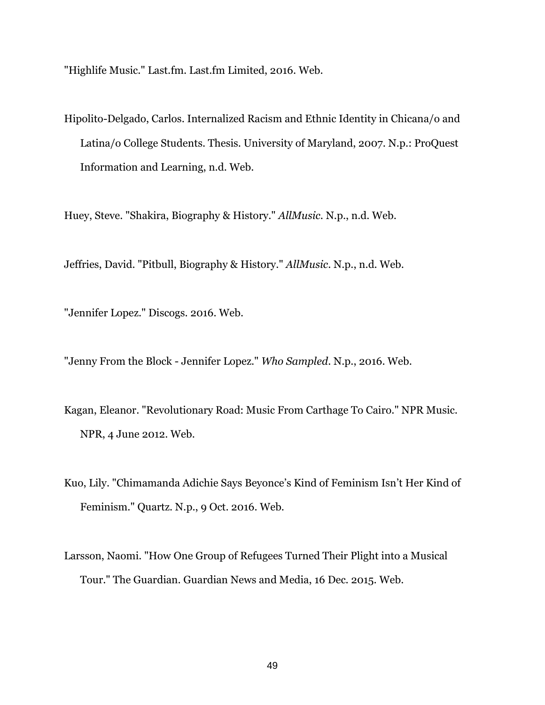"Highlife Music." Last.fm. Last.fm Limited, 2016. Web.

Hipolito-Delgado, Carlos. Internalized Racism and Ethnic Identity in Chicana/o and Latina/o College Students. Thesis. University of Maryland, 2007. N.p.: ProQuest Information and Learning, n.d. Web.

Huey, Steve. "Shakira, Biography & History." *AllMusic*. N.p., n.d. Web.

Jeffries, David. "Pitbull, Biography & History." *AllMusic*. N.p., n.d. Web.

"Jennifer Lopez." Discogs. 2016. Web.

"Jenny From the Block - Jennifer Lopez." *Who Sampled*. N.p., 2016. Web.

- Kagan, Eleanor. "Revolutionary Road: Music From Carthage To Cairo." NPR Music. NPR, 4 June 2012. Web.
- Kuo, Lily. "Chimamanda Adichie Says Beyonce's Kind of Feminism Isn't Her Kind of Feminism." Quartz. N.p., 9 Oct. 2016. Web.
- Larsson, Naomi. "How One Group of Refugees Turned Their Plight into a Musical Tour." The Guardian. Guardian News and Media, 16 Dec. 2015. Web.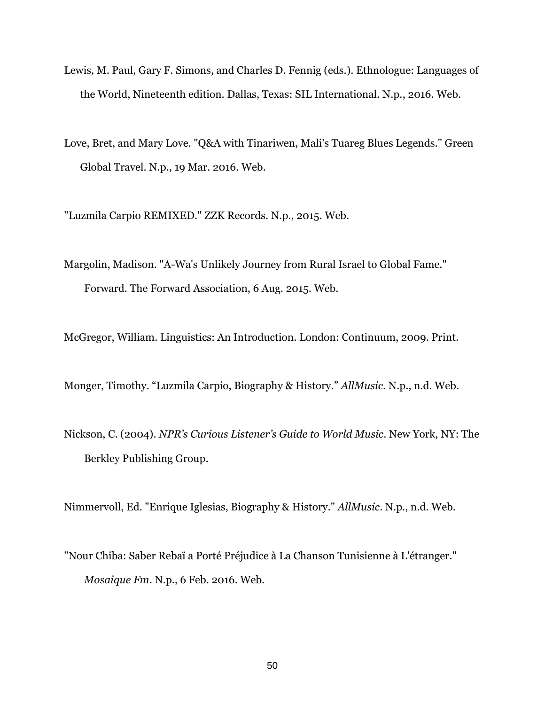- Lewis, M. Paul, Gary F. Simons, and Charles D. Fennig (eds.). Ethnologue: Languages of the World, Nineteenth edition. Dallas, Texas: SIL International. N.p., 2016. Web.
- Love, Bret, and Mary Love. "Q&A with Tinariwen, Mali's Tuareg Blues Legends." Green Global Travel. N.p., 19 Mar. 2016. Web.

"Luzmila Carpio REMIXED." ZZK Records. N.p., 2015. Web.

Margolin, Madison. "A-Wa's Unlikely Journey from Rural Israel to Global Fame." Forward. The Forward Association, 6 Aug. 2015. Web.

McGregor, William. Linguistics: An Introduction. London: Continuum, 2009. Print.

Monger, Timothy. "Luzmila Carpio, Biography & History." *AllMusic.* N.p., n.d. Web.

Nickson, C. (2004). *NPR's Curious Listener's Guide to World Music*. New York, NY: The Berkley Publishing Group.

Nimmervoll, Ed. "Enrique Iglesias, Biography & History." *AllMusic*. N.p., n.d. Web.

"Nour Chiba: Saber Rebaï a Porté Préjudice à La Chanson Tunisienne à L'étranger." *Mosaique Fm*. N.p., 6 Feb. 2016. Web.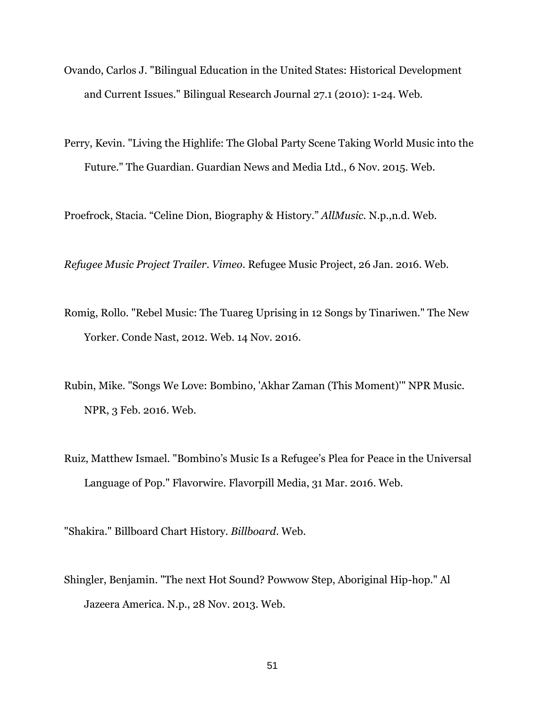- Ovando, Carlos J. "Bilingual Education in the United States: Historical Development and Current Issues." Bilingual Research Journal 27.1 (2010): 1-24. Web.
- Perry, Kevin. "Living the Highlife: The Global Party Scene Taking World Music into the Future." The Guardian. Guardian News and Media Ltd., 6 Nov. 2015. Web.

Proefrock, Stacia. "Celine Dion, Biography & History." *AllMusic.* N.p.,n.d. Web.

*Refugee Music Project Trailer*. *Vimeo*. Refugee Music Project, 26 Jan. 2016. Web.

- Romig, Rollo. "Rebel Music: The Tuareg Uprising in 12 Songs by Tinariwen." The New Yorker. Conde Nast, 2012. Web. 14 Nov. 2016.
- Rubin, Mike. "Songs We Love: Bombino, 'Akhar Zaman (This Moment)'" NPR Music. NPR, 3 Feb. 2016. Web.
- Ruiz, Matthew Ismael. "Bombino's Music Is a Refugee's Plea for Peace in the Universal Language of Pop." Flavorwire. Flavorpill Media, 31 Mar. 2016. Web.

"Shakira." Billboard Chart History. *Billboard*. Web.

Shingler, Benjamin. "The next Hot Sound? Powwow Step, Aboriginal Hip-hop." Al Jazeera America. N.p., 28 Nov. 2013. Web.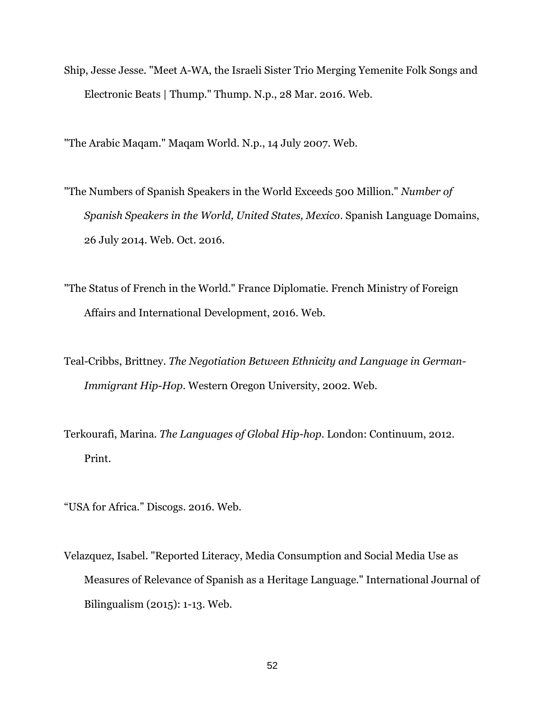Ship, Jesse Jesse. "Meet A-WA, the Israeli Sister Trio Merging Yemenite Folk Songs and Electronic Beats | Thump." Thump. N.p., 28 Mar. 2016. Web.

"The Arabic Maqam." Maqam World. N.p., 14 July 2007. Web.

- "The Numbers of Spanish Speakers in the World Exceeds 500 Million." *Number of Spanish Speakers in the World, United States, Mexico*. Spanish Language Domains, 26 July 2014. Web. Oct. 2016.
- "The Status of French in the World." France Diplomatie. French Ministry of Foreign Affairs and International Development, 2016. Web.
- Teal-Cribbs, Brittney. *The Negotiation Between Ethnicity and Language in German-Immigrant Hip-Hop*. Western Oregon University, 2002. Web.
- Terkourafi, Marina. *The Languages of Global Hip-hop*. London: Continuum, 2012. Print.

"USA for Africa." Discogs. 2016. Web.

Velazquez, Isabel. "Reported Literacy, Media Consumption and Social Media Use as Measures of Relevance of Spanish as a Heritage Language." International Journal of Bilingualism (2015): 1-13. Web.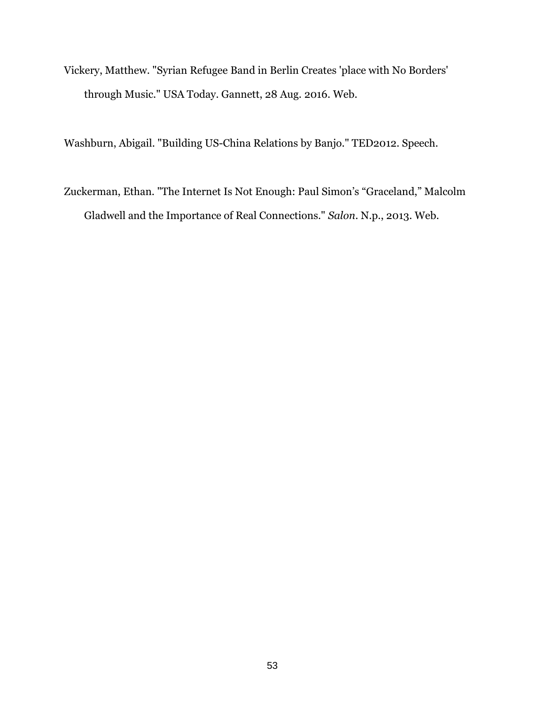Vickery, Matthew. "Syrian Refugee Band in Berlin Creates 'place with No Borders' through Music." USA Today. Gannett, 28 Aug. 2016. Web.

Washburn, Abigail. "Building US-China Relations by Banjo." TED2012. Speech.

Zuckerman, Ethan. "The Internet Is Not Enough: Paul Simon's "Graceland," Malcolm Gladwell and the Importance of Real Connections." *Salon*. N.p., 2013. Web.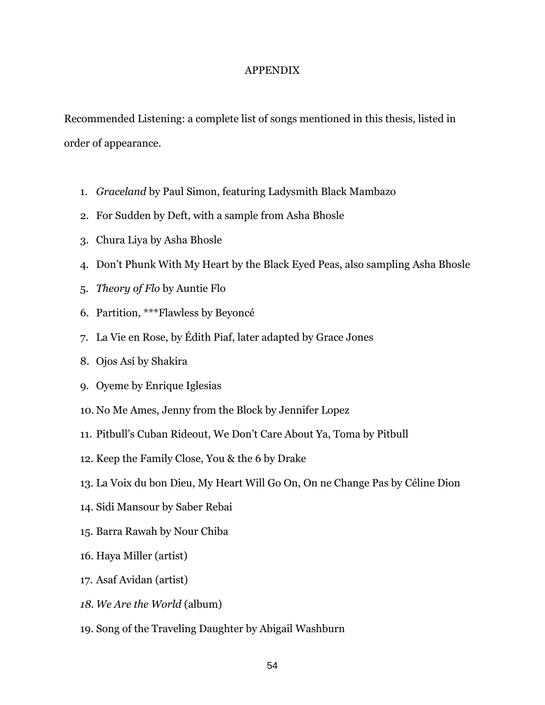#### APPENDIX

Recommended Listening: a complete list of songs mentioned in this thesis, listed in order of appearance.

- 1. *Graceland* by Paul Simon, featuring Ladysmith Black Mambazo
- 2. For Sudden by Deft, with a sample from Asha Bhosle
- 3. Chura Liya by Asha Bhosle
- 4. Don't Phunk With My Heart by the Black Eyed Peas, also sampling Asha Bhosle
- 5. *Theory of Flo* by Auntie Flo
- 6. Partition, \*\*\*Flawless by Beyoncé
- 7. La Vie en Rose, by Édith Piaf, later adapted by Grace Jones
- 8. Ojos Así by Shakira
- 9. Oyeme by Enrique Iglesias
- 10. No Me Ames, Jenny from the Block by Jennifer Lopez
- 11. Pitbull's Cuban Rideout, We Don't Care About Ya, Toma by Pitbull
- 12. Keep the Family Close, You & the 6 by Drake
- 13. La Voix du bon Dieu, My Heart Will Go On, On ne Change Pas by Céline Dion
- 14. Sidi Mansour by Saber Rebai
- 15. Barra Rawah by Nour Chiba
- 16. Haya Miller (artist)
- 17. Asaf Avidan (artist)
- *18. We Are the World* (album)
- 19. Song of the Traveling Daughter by Abigail Washburn